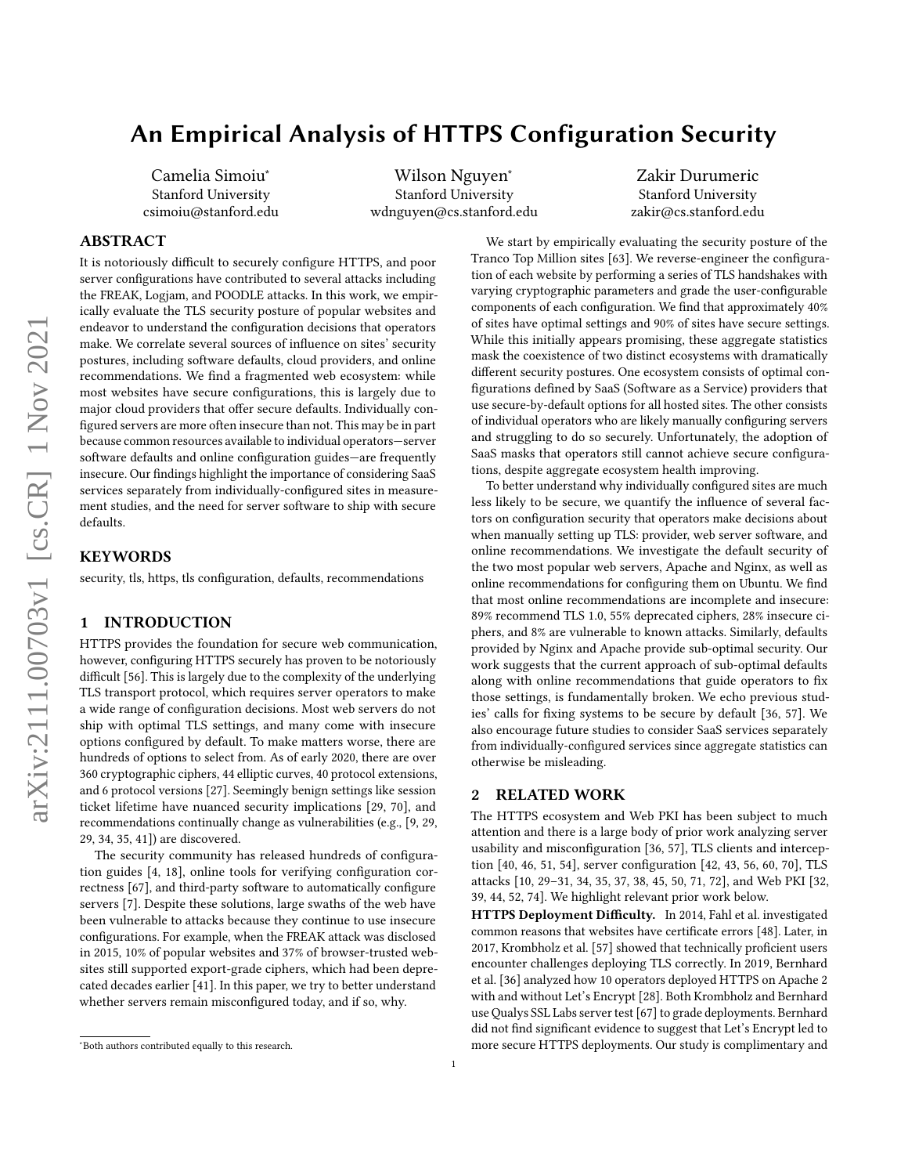# An Empirical Analysis of HTTPS Configuration Security

Camelia Simoiu<sup>∗</sup> Stanford University csimoiu@stanford.edu

Wilson Nguyen<sup>∗</sup> Stanford University wdnguyen@cs.stanford.edu

Zakir Durumeric Stanford University zakir@cs.stanford.edu

# ABSTRACT

It is notoriously difficult to securely configure HTTPS, and poor server configurations have contributed to several attacks including the FREAK, Logjam, and POODLE attacks. In this work, we empirically evaluate the TLS security posture of popular websites and endeavor to understand the configuration decisions that operators make. We correlate several sources of influence on sites' security postures, including software defaults, cloud providers, and online recommendations. We find a fragmented web ecosystem: while most websites have secure configurations, this is largely due to major cloud providers that offer secure defaults. Individually configured servers are more often insecure than not. This may be in part because common resources available to individual operators—server software defaults and online configuration guides—are frequently insecure. Our findings highlight the importance of considering SaaS services separately from individually-configured sites in measurement studies, and the need for server software to ship with secure defaults.

## **KEYWORDS**

security, tls, https, tls configuration, defaults, recommendations

#### 1 INTRODUCTION

HTTPS provides the foundation for secure web communication, however, configuring HTTPS securely has proven to be notoriously difficult [\[56\]](#page-9-0). This is largely due to the complexity of the underlying TLS transport protocol, which requires server operators to make a wide range of configuration decisions. Most web servers do not ship with optimal TLS settings, and many come with insecure options configured by default. To make matters worse, there are hundreds of options to select from. As of early 2020, there are over 360 cryptographic ciphers, 44 elliptic curves, 40 protocol extensions, and 6 protocol versions [\[27\]](#page-8-0). Seemingly benign settings like session ticket lifetime have nuanced security implications [\[29,](#page-8-1) [70\]](#page-9-1), and recommendations continually change as vulnerabilities (e.g., [\[9,](#page-8-2) [29,](#page-8-1) [29,](#page-8-1) [34,](#page-8-3) [35,](#page-8-4) [41\]](#page-8-5)) are discovered.

The security community has released hundreds of configuration guides [\[4,](#page-8-6) [18\]](#page-8-7), online tools for verifying configuration correctness [\[67\]](#page-9-2), and third-party software to automatically configure servers [\[7\]](#page-8-8). Despite these solutions, large swaths of the web have been vulnerable to attacks because they continue to use insecure configurations. For example, when the FREAK attack was disclosed in 2015, 10% of popular websites and 37% of browser-trusted websites still supported export-grade ciphers, which had been deprecated decades earlier [\[41\]](#page-8-5). In this paper, we try to better understand whether servers remain misconfigured today, and if so, why.

We start by empirically evaluating the security posture of the Tranco Top Million sites [\[63\]](#page-9-3). We reverse-engineer the configuration of each website by performing a series of TLS handshakes with varying cryptographic parameters and grade the user-configurable components of each configuration. We find that approximately 40% of sites have optimal settings and 90% of sites have secure settings. While this initially appears promising, these aggregate statistics mask the coexistence of two distinct ecosystems with dramatically different security postures. One ecosystem consists of optimal configurations defined by SaaS (Software as a Service) providers that use secure-by-default options for all hosted sites. The other consists of individual operators who are likely manually configuring servers and struggling to do so securely. Unfortunately, the adoption of SaaS masks that operators still cannot achieve secure configurations, despite aggregate ecosystem health improving.

To better understand why individually configured sites are much less likely to be secure, we quantify the influence of several factors on configuration security that operators make decisions about when manually setting up TLS: provider, web server software, and online recommendations. We investigate the default security of the two most popular web servers, Apache and Nginx, as well as online recommendations for configuring them on Ubuntu. We find that most online recommendations are incomplete and insecure: 89% recommend TLS 1.0, 55% deprecated ciphers, 28% insecure ciphers, and 8% are vulnerable to known attacks. Similarly, defaults provided by Nginx and Apache provide sub-optimal security. Our work suggests that the current approach of sub-optimal defaults along with online recommendations that guide operators to fix those settings, is fundamentally broken. We echo previous studies' calls for fixing systems to be secure by default [\[36,](#page-8-9) [57\]](#page-9-4). We also encourage future studies to consider SaaS services separately from individually-configured services since aggregate statistics can otherwise be misleading.

### <span id="page-0-0"></span>2 RELATED WORK

The HTTPS ecosystem and Web PKI has been subject to much attention and there is a large body of prior work analyzing server usability and misconfiguration [\[36,](#page-8-9) [57\]](#page-9-4), TLS clients and interception [\[40,](#page-8-10) [46,](#page-8-11) [51,](#page-8-12) [54\]](#page-9-5), server configuration [\[42,](#page-8-13) [43,](#page-8-14) [56,](#page-9-0) [60,](#page-9-6) [70\]](#page-9-1), TLS attacks [\[10,](#page-8-15) [29](#page-8-1)[–31,](#page-8-16) [34,](#page-8-3) [35,](#page-8-4) [37,](#page-8-17) [38,](#page-8-18) [45,](#page-8-19) [50,](#page-8-20) [71,](#page-9-7) [72\]](#page-9-8), and Web PKI [\[32,](#page-8-21) [39,](#page-8-22) [44,](#page-8-23) [52,](#page-9-9) [74\]](#page-9-10). We highlight relevant prior work below.

HTTPS Deployment Difficulty. In 2014, Fahl et al. investigated common reasons that websites have certificate errors [\[48\]](#page-8-24). Later, in 2017, Krombholz et al. [\[57\]](#page-9-4) showed that technically proficient users encounter challenges deploying TLS correctly. In 2019, Bernhard et al. [\[36\]](#page-8-9) analyzed how 10 operators deployed HTTPS on Apache 2 with and without Let's Encrypt [\[28\]](#page-8-25). Both Krombholz and Bernhard use Qualys SSL Labs server test [\[67\]](#page-9-2) to grade deployments. Bernhard did not find significant evidence to suggest that Let's Encrypt led to more secure HTTPS deployments. Our study is complimentary and

<sup>∗</sup>Both authors contributed equally to this research.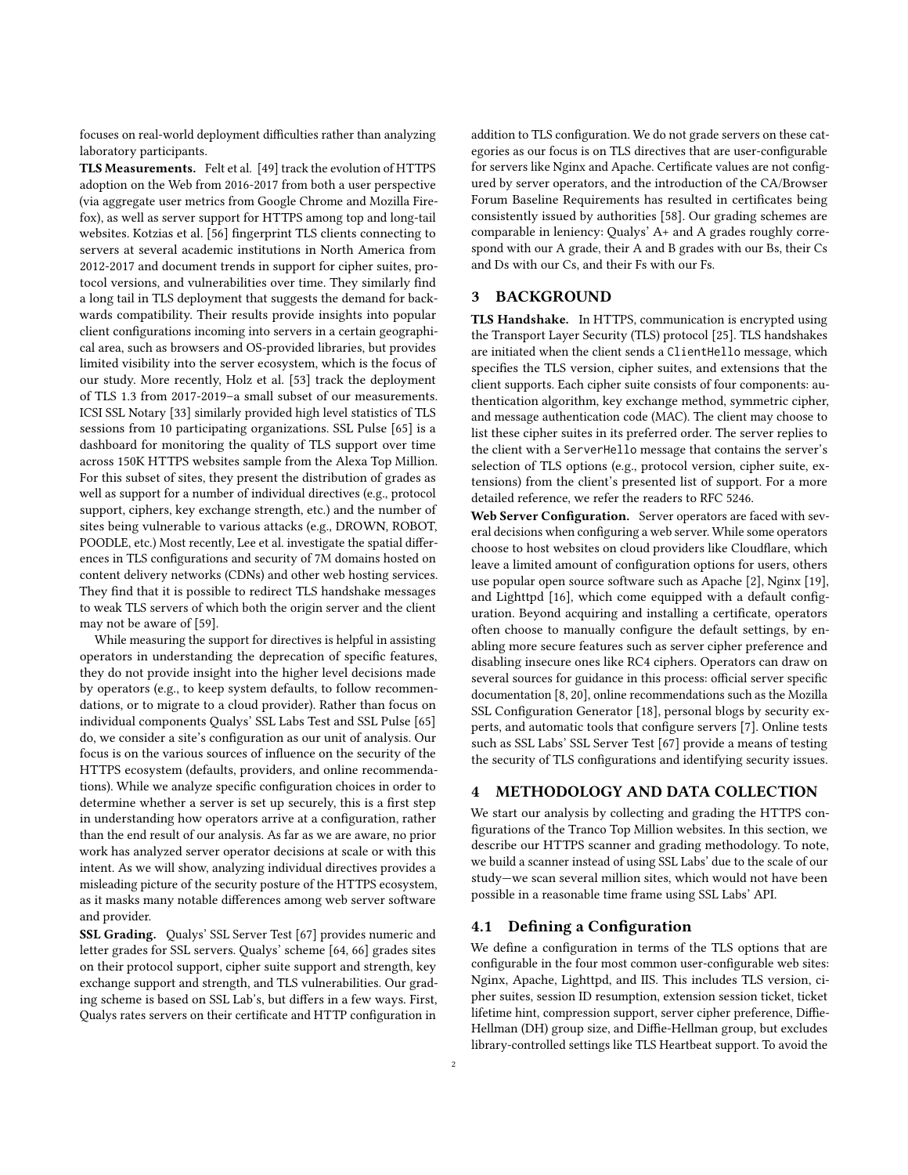focuses on real-world deployment difficulties rather than analyzing laboratory participants.

TLS Measurements. Felt et al. [\[49\]](#page-8-26) track the evolution of HTTPS adoption on the Web from 2016-2017 from both a user perspective (via aggregate user metrics from Google Chrome and Mozilla Firefox), as well as server support for HTTPS among top and long-tail websites. Kotzias et al. [\[56\]](#page-9-0) fingerprint TLS clients connecting to servers at several academic institutions in North America from 2012-2017 and document trends in support for cipher suites, protocol versions, and vulnerabilities over time. They similarly find a long tail in TLS deployment that suggests the demand for backwards compatibility. Their results provide insights into popular client configurations incoming into servers in a certain geographical area, such as browsers and OS-provided libraries, but provides limited visibility into the server ecosystem, which is the focus of our study. More recently, Holz et al. [\[53\]](#page-9-11) track the deployment of TLS 1.3 from 2017-2019–a small subset of our measurements. ICSI SSL Notary [\[33\]](#page-8-27) similarly provided high level statistics of TLS sessions from 10 participating organizations. SSL Pulse [\[65\]](#page-9-12) is a dashboard for monitoring the quality of TLS support over time across 150K HTTPS websites sample from the Alexa Top Million. For this subset of sites, they present the distribution of grades as well as support for a number of individual directives (e.g., protocol support, ciphers, key exchange strength, etc.) and the number of sites being vulnerable to various attacks (e.g., DROWN, ROBOT, POODLE, etc.) Most recently, Lee et al. investigate the spatial differences in TLS configurations and security of 7M domains hosted on content delivery networks (CDNs) and other web hosting services. They find that it is possible to redirect TLS handshake messages to weak TLS servers of which both the origin server and the client may not be aware of [\[59\]](#page-9-13).

While measuring the support for directives is helpful in assisting operators in understanding the deprecation of specific features, they do not provide insight into the higher level decisions made by operators (e.g., to keep system defaults, to follow recommendations, or to migrate to a cloud provider). Rather than focus on individual components Qualys' SSL Labs Test and SSL Pulse [\[65\]](#page-9-12) do, we consider a site's configuration as our unit of analysis. Our focus is on the various sources of influence on the security of the HTTPS ecosystem (defaults, providers, and online recommendations). While we analyze specific configuration choices in order to determine whether a server is set up securely, this is a first step in understanding how operators arrive at a configuration, rather than the end result of our analysis. As far as we are aware, no prior work has analyzed server operator decisions at scale or with this intent. As we will show, analyzing individual directives provides a misleading picture of the security posture of the HTTPS ecosystem, as it masks many notable differences among web server software and provider.

SSL Grading. Qualys' SSL Server Test [\[67\]](#page-9-2) provides numeric and letter grades for SSL servers. Qualys' scheme [\[64,](#page-9-14) [66\]](#page-9-15) grades sites on their protocol support, cipher suite support and strength, key exchange support and strength, and TLS vulnerabilities. Our grading scheme is based on SSL Lab's, but differs in a few ways. First, Qualys rates servers on their certificate and HTTP configuration in

addition to TLS configuration. We do not grade servers on these categories as our focus is on TLS directives that are user-configurable for servers like Nginx and Apache. Certificate values are not configured by server operators, and the introduction of the CA/Browser Forum Baseline Requirements has resulted in certificates being consistently issued by authorities [\[58\]](#page-9-16). Our grading schemes are comparable in leniency: Qualys' A+ and A grades roughly correspond with our A grade, their A and B grades with our Bs, their Cs and Ds with our Cs, and their Fs with our Fs.

# 3 BACKGROUND

TLS Handshake. In HTTPS, communication is encrypted using the Transport Layer Security (TLS) protocol [\[25\]](#page-8-28). TLS handshakes are initiated when the client sends a ClientHello message, which specifies the TLS version, cipher suites, and extensions that the client supports. Each cipher suite consists of four components: authentication algorithm, key exchange method, symmetric cipher, and message authentication code (MAC). The client may choose to list these cipher suites in its preferred order. The server replies to the client with a ServerHello message that contains the server's selection of TLS options (e.g., protocol version, cipher suite, extensions) from the client's presented list of support. For a more detailed reference, we refer the readers to RFC 5246.

Web Server Configuration. Server operators are faced with several decisions when configuring a web server. While some operators choose to host websites on cloud providers like Cloudflare, which leave a limited amount of configuration options for users, others use popular open source software such as Apache [\[2\]](#page-8-29), Nginx [\[19\]](#page-8-30), and Lighttpd [\[16\]](#page-8-31), which come equipped with a default configuration. Beyond acquiring and installing a certificate, operators often choose to manually configure the default settings, by enabling more secure features such as server cipher preference and disabling insecure ones like RC4 ciphers. Operators can draw on several sources for guidance in this process: official server specific documentation [\[8,](#page-8-32) [20\]](#page-8-33), online recommendations such as the Mozilla SSL Configuration Generator [\[18\]](#page-8-7), personal blogs by security experts, and automatic tools that configure servers [\[7\]](#page-8-8). Online tests such as SSL Labs' SSL Server Test [\[67\]](#page-9-2) provide a means of testing the security of TLS configurations and identifying security issues.

# 4 METHODOLOGY AND DATA COLLECTION

We start our analysis by collecting and grading the HTTPS configurations of the Tranco Top Million websites. In this section, we describe our HTTPS scanner and grading methodology. To note, we build a scanner instead of using SSL Labs' due to the scale of our study—we scan several million sites, which would not have been possible in a reasonable time frame using SSL Labs' API.

### 4.1 Defining a Configuration

We define a configuration in terms of the TLS options that are configurable in the four most common user-configurable web sites: Nginx, Apache, Lighttpd, and IIS. This includes TLS version, cipher suites, session ID resumption, extension session ticket, ticket lifetime hint, compression support, server cipher preference, Diffie-Hellman (DH) group size, and Diffie-Hellman group, but excludes library-controlled settings like TLS Heartbeat support. To avoid the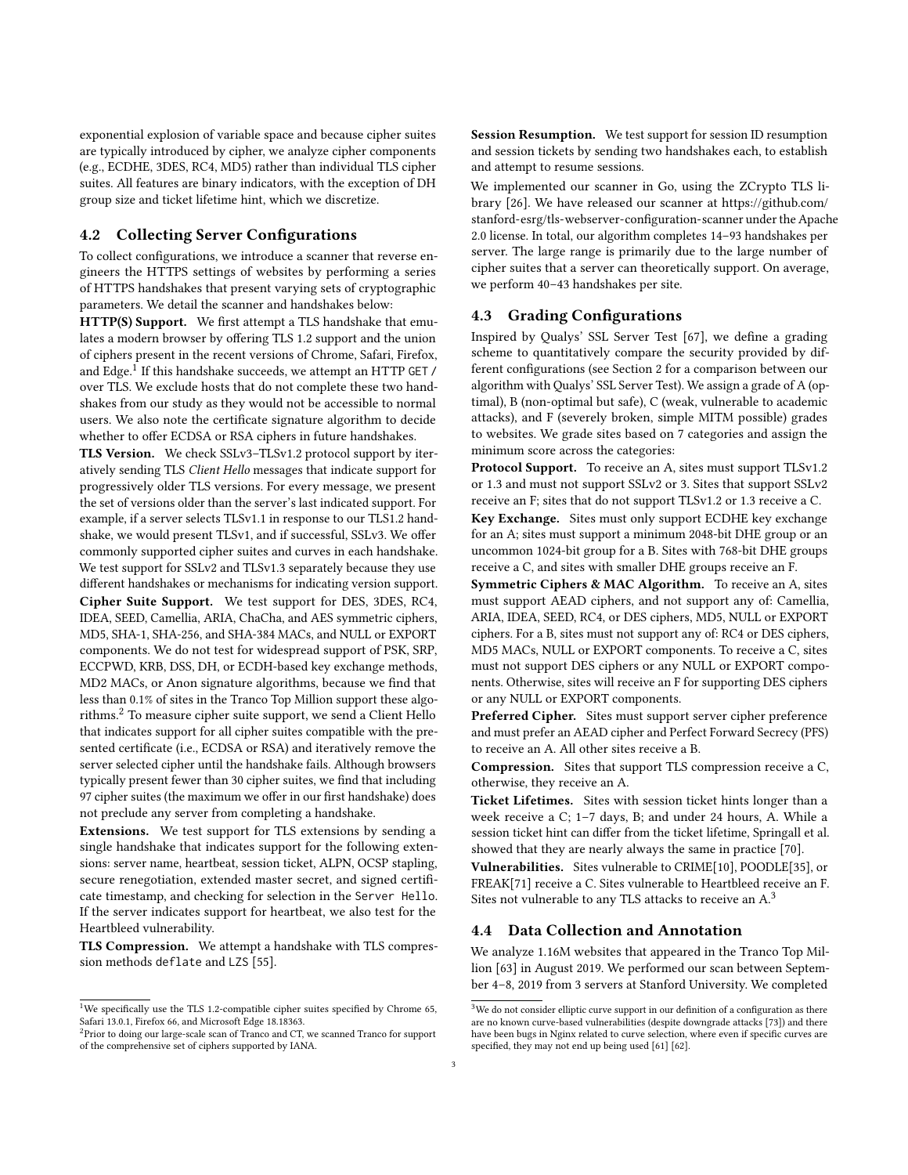exponential explosion of variable space and because cipher suites are typically introduced by cipher, we analyze cipher components (e.g., ECDHE, 3DES, RC4, MD5) rather than individual TLS cipher suites. All features are binary indicators, with the exception of DH group size and ticket lifetime hint, which we discretize.

### 4.2 Collecting Server Configurations

To collect configurations, we introduce a scanner that reverse engineers the HTTPS settings of websites by performing a series of HTTPS handshakes that present varying sets of cryptographic parameters. We detail the scanner and handshakes below:

HTTP(S) Support. We first attempt a TLS handshake that emulates a modern browser by offering TLS 1.2 support and the union of ciphers present in the recent versions of Chrome, Safari, Firefox, and Edge. $^1$  $^1$  If this handshake succeeds, we attempt an HTTP GET / over TLS. We exclude hosts that do not complete these two handshakes from our study as they would not be accessible to normal users. We also note the certificate signature algorithm to decide whether to offer ECDSA or RSA ciphers in future handshakes.

TLS Version. We check SSLv3–TLSv1.2 protocol support by iteratively sending TLS Client Hello messages that indicate support for progressively older TLS versions. For every message, we present the set of versions older than the server's last indicated support. For example, if a server selects TLSv1.1 in response to our TLS1.2 handshake, we would present TLSv1, and if successful, SSLv3. We offer commonly supported cipher suites and curves in each handshake. We test support for SSLv2 and TLSv1.3 separately because they use

different handshakes or mechanisms for indicating version support. Cipher Suite Support. We test support for DES, 3DES, RC4, IDEA, SEED, Camellia, ARIA, ChaCha, and AES symmetric ciphers, MD5, SHA-1, SHA-256, and SHA-384 MACs, and NULL or EXPORT components. We do not test for widespread support of PSK, SRP, ECCPWD, KRB, DSS, DH, or ECDH-based key exchange methods, MD2 MACs, or Anon signature algorithms, because we find that less than 0.1% of sites in the Tranco Top Million support these algo-rithms.<sup>[2](#page-2-1)</sup> To measure cipher suite support, we send a Client Hello that indicates support for all cipher suites compatible with the presented certificate (i.e., ECDSA or RSA) and iteratively remove the server selected cipher until the handshake fails. Although browsers typically present fewer than 30 cipher suites, we find that including 97 cipher suites (the maximum we offer in our first handshake) does not preclude any server from completing a handshake.

Extensions. We test support for TLS extensions by sending a single handshake that indicates support for the following extensions: server name, heartbeat, session ticket, ALPN, OCSP stapling, secure renegotiation, extended master secret, and signed certificate timestamp, and checking for selection in the Server Hello. If the server indicates support for heartbeat, we also test for the Heartbleed vulnerability.

TLS Compression. We attempt a handshake with TLS compression methods deflate and LZS [\[55\]](#page-9-17).

Session Resumption. We test support for session ID resumption and session tickets by sending two handshakes each, to establish and attempt to resume sessions.

We implemented our scanner in Go, using the ZCrypto TLS library [\[26\]](#page-8-34). We have released our scanner at [https://github.com/](https://github.com/stanford-esrg/tls-webserver-configuration-scanner) [stanford-esrg/tls-webserver-configuration-scanner](https://github.com/stanford-esrg/tls-webserver-configuration-scanner) under the Apache 2.0 license. In total, our algorithm completes 14–93 handshakes per server. The large range is primarily due to the large number of cipher suites that a server can theoretically support. On average, we perform 40–43 handshakes per site.

### 4.3 Grading Configurations

Inspired by Qualys' SSL Server Test [\[67\]](#page-9-2), we define a grading scheme to quantitatively compare the security provided by different configurations (see Section [2](#page-0-0) for a comparison between our algorithm with Qualys' SSL Server Test). We assign a grade of A (optimal), B (non-optimal but safe), C (weak, vulnerable to academic attacks), and F (severely broken, simple MITM possible) grades to websites. We grade sites based on 7 categories and assign the minimum score across the categories:

Protocol Support. To receive an A, sites must support TLSv1.2 or 1.3 and must not support SSLv2 or 3. Sites that support SSLv2 receive an F; sites that do not support TLSv1.2 or 1.3 receive a C.

Key Exchange. Sites must only support ECDHE key exchange for an A; sites must support a minimum 2048-bit DHE group or an uncommon 1024-bit group for a B. Sites with 768-bit DHE groups receive a C, and sites with smaller DHE groups receive an F.

Symmetric Ciphers & MAC Algorithm. To receive an A, sites must support AEAD ciphers, and not support any of: Camellia, ARIA, IDEA, SEED, RC4, or DES ciphers, MD5, NULL or EXPORT ciphers. For a B, sites must not support any of: RC4 or DES ciphers, MD5 MACs, NULL or EXPORT components. To receive a C, sites must not support DES ciphers or any NULL or EXPORT components. Otherwise, sites will receive an F for supporting DES ciphers or any NULL or EXPORT components.

Preferred Cipher. Sites must support server cipher preference and must prefer an AEAD cipher and Perfect Forward Secrecy (PFS) to receive an A. All other sites receive a B.

Compression. Sites that support TLS compression receive a C, otherwise, they receive an A.

Ticket Lifetimes. Sites with session ticket hints longer than a week receive a C; 1–7 days, B; and under 24 hours, A. While a session ticket hint can differ from the ticket lifetime, Springall et al. showed that they are nearly always the same in practice [\[70\]](#page-9-1).

Vulnerabilities. Sites vulnerable to CRIME[\[10\]](#page-8-15), POODLE[\[35\]](#page-8-4), or FREAK[\[71\]](#page-9-7) receive a C. Sites vulnerable to Heartbleed receive an F. Sites not vulnerable to any TLS attacks to receive an A.[3](#page-2-2)

# 4.4 Data Collection and Annotation

We analyze 1.16M websites that appeared in the Tranco Top Million [\[63\]](#page-9-3) in August 2019. We performed our scan between September 4–8, 2019 from 3 servers at Stanford University. We completed

<span id="page-2-0"></span><sup>&</sup>lt;sup>1</sup>We specifically use the TLS 1.2-compatible cipher suites specified by Chrome 65, Safari 13.0.1, Firefox 66, and Microsoft Edge 18.18363.

<span id="page-2-1"></span><sup>2</sup>Prior to doing our large-scale scan of Tranco and CT, we scanned Tranco for support of the comprehensive set of ciphers supported by IANA.

<span id="page-2-2"></span> $^3\rm{We}$  do not consider elliptic curve support in our definition of a configuration as there are no known curve-based vulnerabilities (despite downgrade attacks [\[73\]](#page-9-18)) and there have been bugs in Nginx related to curve selection, where even if specific curves are specified, they may not end up being used [\[61\]](#page-9-19) [\[62\]](#page-9-20).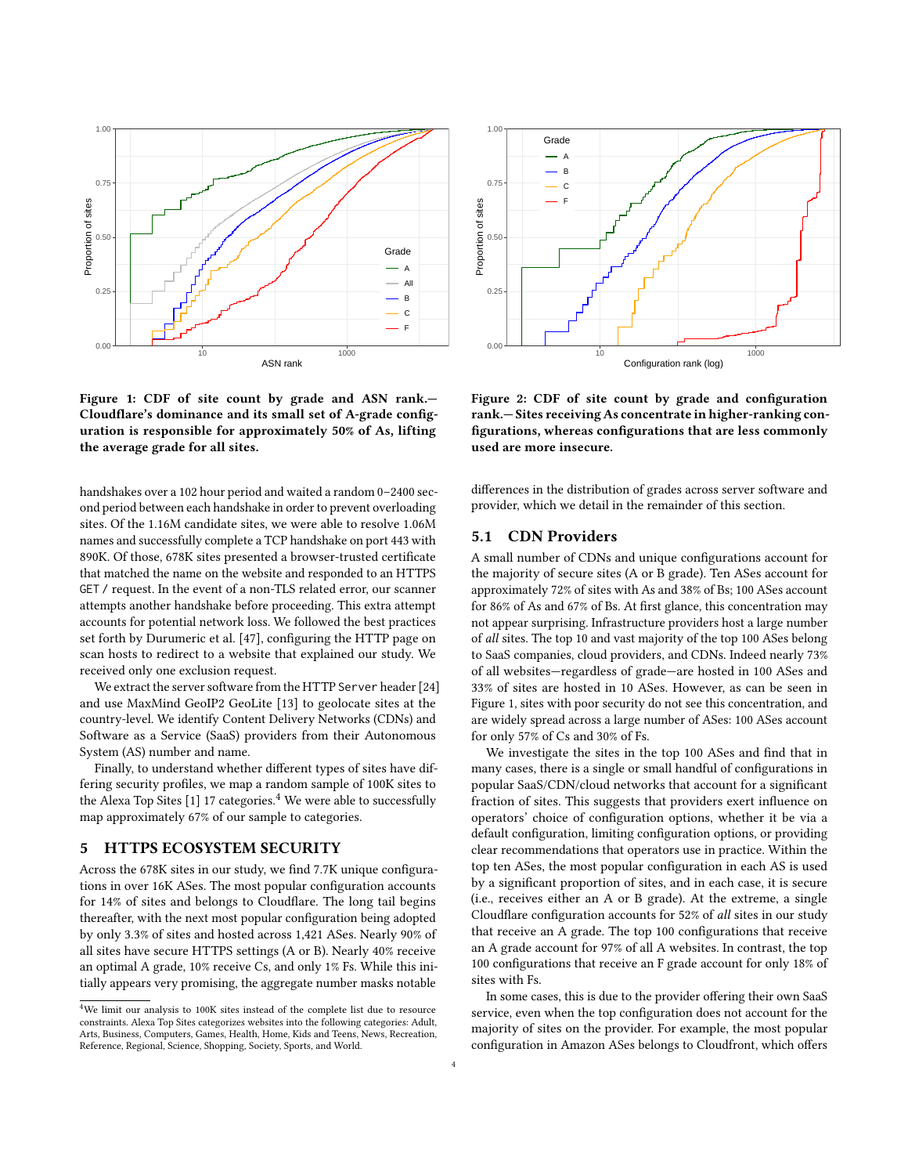<span id="page-3-1"></span>

Figure 1: CDF of site count by grade and ASN rank.— Cloudflare's dominance and its small set of A-grade configuration is responsible for approximately 50% of As, lifting the average grade for all sites.

handshakes over a 102 hour period and waited a random 0–2400 second period between each handshake in order to prevent overloading sites. Of the 1.16M candidate sites, we were able to resolve 1.06M names and successfully complete a TCP handshake on port 443 with 890K. Of those, 678K sites presented a browser-trusted certificate that matched the name on the website and responded to an HTTPS GET / request. In the event of a non-TLS related error, our scanner attempts another handshake before proceeding. This extra attempt accounts for potential network loss. We followed the best practices set forth by Durumeric et al. [\[47\]](#page-8-35), configuring the HTTP page on scan hosts to redirect to a website that explained our study. We received only one exclusion request.

We extract the server software from the HTTP Server header [\[24\]](#page-8-36) and use MaxMind GeoIP2 GeoLite [\[13\]](#page-8-37) to geolocate sites at the country-level. We identify Content Delivery Networks (CDNs) and Software as a Service (SaaS) providers from their Autonomous System (AS) number and name.

Finally, to understand whether different types of sites have differing security profiles, we map a random sample of 100K sites to the Alexa Top Sites  $[1]$  17 categories.<sup>[4](#page-3-0)</sup> We were able to successfully map approximately 67% of our sample to categories.

# 5 HTTPS ECOSYSTEM SECURITY

Across the 678K sites in our study, we find 7.7K unique configurations in over 16K ASes. The most popular configuration accounts for 14% of sites and belongs to Cloudflare. The long tail begins thereafter, with the next most popular configuration being adopted by only 3.3% of sites and hosted across 1,421 ASes. Nearly 90% of all sites have secure HTTPS settings (A or B). Nearly 40% receive an optimal A grade, 10% receive Cs, and only 1% Fs. While this initially appears very promising, the aggregate number masks notable

<span id="page-3-2"></span>

Figure 2: CDF of site count by grade and configuration rank.— Sites receiving As concentrate in higher-ranking configurations, whereas configurations that are less commonly used are more insecure.

differences in the distribution of grades across server software and provider, which we detail in the remainder of this section.

# 5.1 CDN Providers

A small number of CDNs and unique configurations account for the majority of secure sites (A or B grade). Ten ASes account for approximately 72% of sites with As and 38% of Bs; 100 ASes account for 86% of As and 67% of Bs. At first glance, this concentration may not appear surprising. Infrastructure providers host a large number of all sites. The top 10 and vast majority of the top 100 ASes belong to SaaS companies, cloud providers, and CDNs. Indeed nearly 73% of all websites—regardless of grade—are hosted in 100 ASes and 33% of sites are hosted in 10 ASes. However, as can be seen in Figure [1,](#page-3-1) sites with poor security do not see this concentration, and are widely spread across a large number of ASes: 100 ASes account for only 57% of Cs and 30% of Fs.

We investigate the sites in the top 100 ASes and find that in many cases, there is a single or small handful of configurations in popular SaaS/CDN/cloud networks that account for a significant fraction of sites. This suggests that providers exert influence on operators' choice of configuration options, whether it be via a default configuration, limiting configuration options, or providing clear recommendations that operators use in practice. Within the top ten ASes, the most popular configuration in each AS is used by a significant proportion of sites, and in each case, it is secure (i.e., receives either an A or B grade). At the extreme, a single Cloudflare configuration accounts for 52% of all sites in our study that receive an A grade. The top 100 configurations that receive an A grade account for 97% of all A websites. In contrast, the top 100 configurations that receive an F grade account for only 18% of sites with Fs.

In some cases, this is due to the provider offering their own SaaS service, even when the top configuration does not account for the majority of sites on the provider. For example, the most popular configuration in Amazon ASes belongs to Cloudfront, which offers

<span id="page-3-0"></span><sup>4</sup>We limit our analysis to 100K sites instead of the complete list due to resource constraints. Alexa Top Sites categorizes websites into the following categories: Adult, Arts, Business, Computers, Games, Health, Home, Kids and Teens, News, Recreation, Reference, Regional, Science, Shopping, Society, Sports, and World.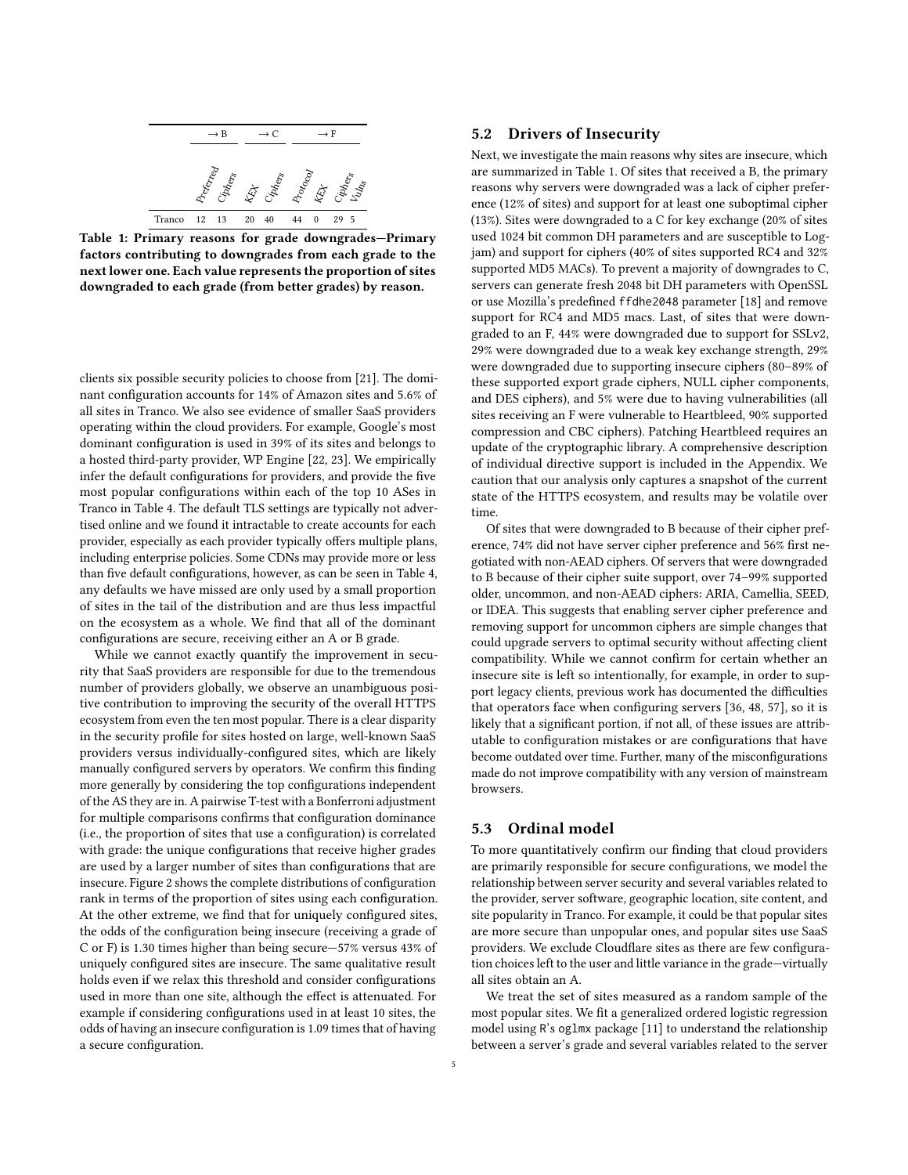<span id="page-4-0"></span>

Table 1: Primary reasons for grade downgrades—Primary factors contributing to downgrades from each grade to the next lower one. Each value represents the proportion of sites downgraded to each grade (from better grades) by reason.

clients six possible security policies to choose from [\[21\]](#page-8-39). The dominant configuration accounts for 14% of Amazon sites and 5.6% of all sites in Tranco. We also see evidence of smaller SaaS providers operating within the cloud providers. For example, Google's most dominant configuration is used in 39% of its sites and belongs to a hosted third-party provider, WP Engine [\[22,](#page-8-40) [23\]](#page-8-41). We empirically infer the default configurations for providers, and provide the five most popular configurations within each of the top 10 ASes in Tranco in Table [4.](#page-10-0) The default TLS settings are typically not advertised online and we found it intractable to create accounts for each provider, especially as each provider typically offers multiple plans, including enterprise policies. Some CDNs may provide more or less than five default configurations, however, as can be seen in Table [4,](#page-10-0) any defaults we have missed are only used by a small proportion of sites in the tail of the distribution and are thus less impactful on the ecosystem as a whole. We find that all of the dominant configurations are secure, receiving either an A or B grade.

While we cannot exactly quantify the improvement in security that SaaS providers are responsible for due to the tremendous number of providers globally, we observe an unambiguous positive contribution to improving the security of the overall HTTPS ecosystem from even the ten most popular. There is a clear disparity in the security profile for sites hosted on large, well-known SaaS providers versus individually-configured sites, which are likely manually configured servers by operators. We confirm this finding more generally by considering the top configurations independent of the AS they are in. A pairwise T-test with a Bonferroni adjustment for multiple comparisons confirms that configuration dominance (i.e., the proportion of sites that use a configuration) is correlated with grade: the unique configurations that receive higher grades are used by a larger number of sites than configurations that are insecure. Figure [2](#page-3-2) shows the complete distributions of configuration rank in terms of the proportion of sites using each configuration. At the other extreme, we find that for uniquely configured sites, the odds of the configuration being insecure (receiving a grade of C or F) is 1.30 times higher than being secure—57% versus 43% of uniquely configured sites are insecure. The same qualitative result holds even if we relax this threshold and consider configurations used in more than one site, although the effect is attenuated. For example if considering configurations used in at least 10 sites, the odds of having an insecure configuration is 1.09 times that of having a secure configuration.

### 5.2 Drivers of Insecurity

Next, we investigate the main reasons why sites are insecure, which are summarized in Table [1.](#page-4-0) Of sites that received a B, the primary reasons why servers were downgraded was a lack of cipher preference (12% of sites) and support for at least one suboptimal cipher (13%). Sites were downgraded to a C for key exchange (20% of sites used 1024 bit common DH parameters and are susceptible to Logjam) and support for ciphers (40% of sites supported RC4 and 32% supported MD5 MACs). To prevent a majority of downgrades to C, servers can generate fresh 2048 bit DH parameters with OpenSSL or use Mozilla's predefined ffdhe2048 parameter [\[18\]](#page-8-7) and remove support for RC4 and MD5 macs. Last, of sites that were downgraded to an F, 44% were downgraded due to support for SSLv2, 29% were downgraded due to a weak key exchange strength, 29% were downgraded due to supporting insecure ciphers (80–89% of these supported export grade ciphers, NULL cipher components, and DES ciphers), and 5% were due to having vulnerabilities (all sites receiving an F were vulnerable to Heartbleed, 90% supported compression and CBC ciphers). Patching Heartbleed requires an update of the cryptographic library. A comprehensive description of individual directive support is included in the Appendix. We caution that our analysis only captures a snapshot of the current state of the HTTPS ecosystem, and results may be volatile over time.

Of sites that were downgraded to B because of their cipher preference, 74% did not have server cipher preference and 56% first negotiated with non-AEAD ciphers. Of servers that were downgraded to B because of their cipher suite support, over 74–99% supported older, uncommon, and non-AEAD ciphers: ARIA, Camellia, SEED, or IDEA. This suggests that enabling server cipher preference and removing support for uncommon ciphers are simple changes that could upgrade servers to optimal security without affecting client compatibility. While we cannot confirm for certain whether an insecure site is left so intentionally, for example, in order to support legacy clients, previous work has documented the difficulties that operators face when configuring servers [\[36,](#page-8-9) [48,](#page-8-24) [57\]](#page-9-4), so it is likely that a significant portion, if not all, of these issues are attributable to configuration mistakes or are configurations that have become outdated over time. Further, many of the misconfigurations made do not improve compatibility with any version of mainstream browsers.

### 5.3 Ordinal model

To more quantitatively confirm our finding that cloud providers are primarily responsible for secure configurations, we model the relationship between server security and several variables related to the provider, server software, geographic location, site content, and site popularity in Tranco. For example, it could be that popular sites are more secure than unpopular ones, and popular sites use SaaS providers. We exclude Cloudflare sites as there are few configuration choices left to the user and little variance in the grade—virtually all sites obtain an A.

We treat the set of sites measured as a random sample of the most popular sites. We fit a generalized ordered logistic regression model using R's oglmx package [\[11\]](#page-8-42) to understand the relationship between a server's grade and several variables related to the server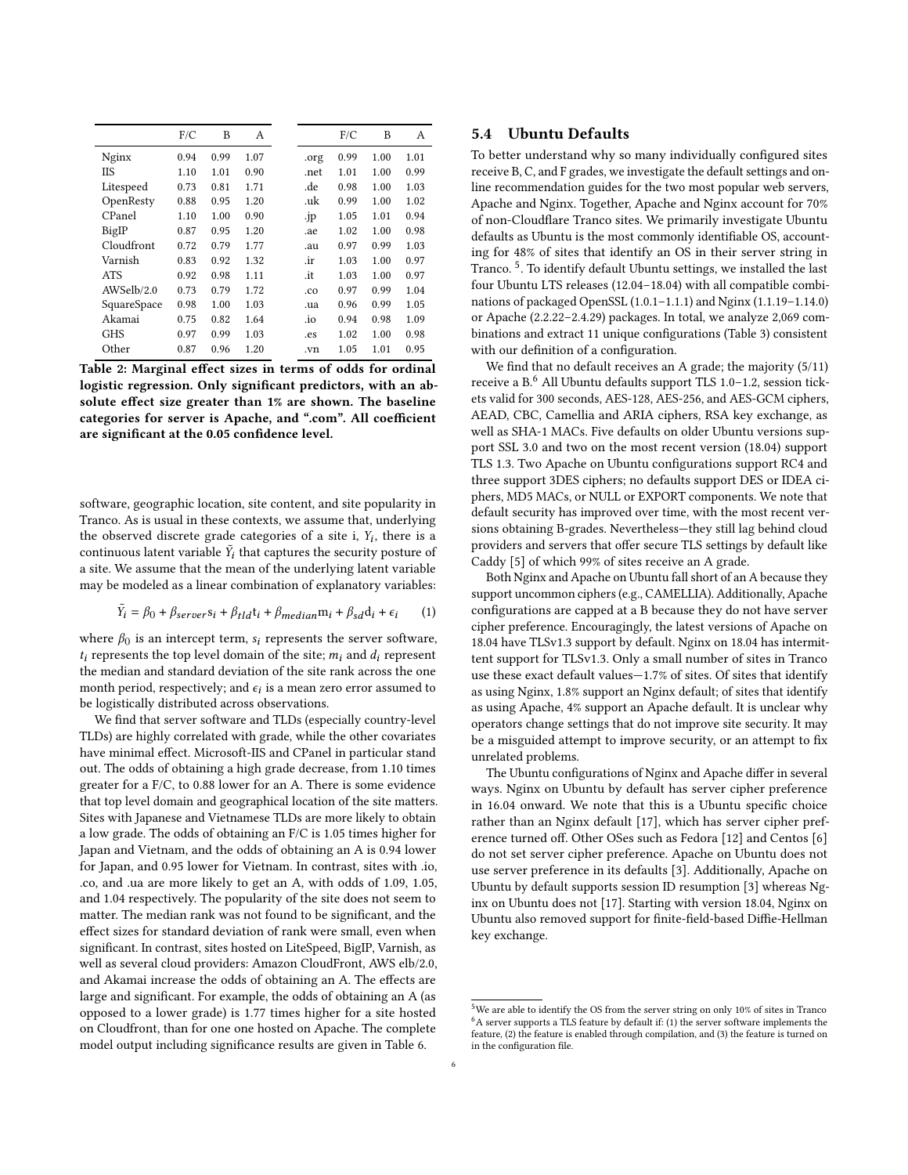|             | F/C  | B    | A    |      | F/C  | B    | А    |
|-------------|------|------|------|------|------|------|------|
| Nginx       | 0.94 | 0.99 | 1.07 | .org | 0.99 | 1.00 | 1.01 |
| ΠS          | 1.10 | 1.01 | 0.90 | .net | 1.01 | 1.00 | 0.99 |
| Litespeed   | 0.73 | 0.81 | 1.71 | .de  | 0.98 | 1.00 | 1.03 |
| OpenResty   | 0.88 | 0.95 | 1.20 | .uk  | 0.99 | 1.00 | 1.02 |
| CPanel      | 1.10 | 1.00 | 0.90 | .jp  | 1.05 | 1.01 | 0.94 |
| BigIP       | 0.87 | 0.95 | 1.20 | .ae  | 1.02 | 1.00 | 0.98 |
| Cloudfront  | 0.72 | 0.79 | 1.77 | .au  | 0.97 | 0.99 | 1.03 |
| Varnish     | 0.83 | 0.92 | 1.32 | .ir  | 1.03 | 1.00 | 0.97 |
| <b>ATS</b>  | 0.92 | 0.98 | 1.11 | .it  | 1.03 | 1.00 | 0.97 |
| AWSelb/2.0  | 0.73 | 0.79 | 1.72 | .co  | 0.97 | 0.99 | 1.04 |
| SquareSpace | 0.98 | 1.00 | 1.03 | .ua  | 0.96 | 0.99 | 1.05 |
| Akamai      | 0.75 | 0.82 | 1.64 | .io  | 0.94 | 0.98 | 1.09 |
| GHS         | 0.97 | 0.99 | 1.03 | .es  | 1.02 | 1.00 | 0.98 |
| Other       | 0.87 | 0.96 | 1.20 | .vn  | 1.05 | 1.01 | 0.95 |
|             |      |      |      |      |      |      |      |

Table 2: Marginal effect sizes in terms of odds for ordinal logistic regression. Only significant predictors, with an absolute effect size greater than 1% are shown. The baseline categories for server is Apache, and ".com". All coefficient are significant at the 0.05 confidence level.

software, geographic location, site content, and site popularity in Tranco. As is usual in these contexts, we assume that, underlying the observed discrete grade categories of a site i,  $Y_i$ , there is a continuous latent variable  $\tilde{Y}_i$  that captures the security posture of a site. We assume that the mean of the underlying latent variable may be modeled as a linear combination of explanatory variables:

$$
\tilde{Y}_i = \beta_0 + \beta_{server} s_i + \beta_{tld} t_i + \beta_{median} m_i + \beta_{sd} d_i + \epsilon_i \tag{1}
$$

where  $\beta_0$  is an intercept term,  $s_i$  represents the server software,  $t_i$  represents the top level domain of the site;  $m_i$  and  $d_i$  represent the median and standard deviation of the site rank across the one month period, respectively; and  $\epsilon_i$  is a mean zero error assumed to be logistically distributed across observations.

We find that server software and TLDs (especially country-level TLDs) are highly correlated with grade, while the other covariates have minimal effect. Microsoft-IIS and CPanel in particular stand out. The odds of obtaining a high grade decrease, from 1.10 times greater for a F/C, to 0.88 lower for an A. There is some evidence that top level domain and geographical location of the site matters. Sites with Japanese and Vietnamese TLDs are more likely to obtain a low grade. The odds of obtaining an F/C is 1.05 times higher for Japan and Vietnam, and the odds of obtaining an A is 0.94 lower for Japan, and 0.95 lower for Vietnam. In contrast, sites with .io, .co, and .ua are more likely to get an A, with odds of 1.09, 1.05, and 1.04 respectively. The popularity of the site does not seem to matter. The median rank was not found to be significant, and the effect sizes for standard deviation of rank were small, even when significant. In contrast, sites hosted on LiteSpeed, BigIP, Varnish, as well as several cloud providers: Amazon CloudFront, AWS elb/2.0, and Akamai increase the odds of obtaining an A. The effects are large and significant. For example, the odds of obtaining an A (as opposed to a lower grade) is 1.77 times higher for a site hosted on Cloudfront, than for one one hosted on Apache. The complete model output including significance results are given in Table [6.](#page-12-0)

### 5.4 Ubuntu Defaults

To better understand why so many individually configured sites receive B, C, and F grades, we investigate the default settings and online recommendation guides for the two most popular web servers, Apache and Nginx. Together, Apache and Nginx account for 70% of non-Cloudflare Tranco sites. We primarily investigate Ubuntu defaults as Ubuntu is the most commonly identifiable OS, accounting for 48% of sites that identify an OS in their server string in Tranco. [5](#page-5-0) . To identify default Ubuntu settings, we installed the last four Ubuntu LTS releases (12.04–18.04) with all compatible combinations of packaged OpenSSL (1.0.1–1.1.1) and Nginx (1.1.19–1.14.0) or Apache (2.2.22–2.4.29) packages. In total, we analyze 2,069 combinations and extract 11 unique configurations (Table [3\)](#page-6-0) consistent with our definition of a configuration.

We find that no default receives an A grade; the majority (5/11) receive a B.[6](#page-5-1) All Ubuntu defaults support TLS 1.0–1.2, session tickets valid for 300 seconds, AES-128, AES-256, and AES-GCM ciphers, AEAD, CBC, Camellia and ARIA ciphers, RSA key exchange, as well as SHA-1 MACs. Five defaults on older Ubuntu versions support SSL 3.0 and two on the most recent version (18.04) support TLS 1.3. Two Apache on Ubuntu configurations support RC4 and three support 3DES ciphers; no defaults support DES or IDEA ciphers, MD5 MACs, or NULL or EXPORT components. We note that default security has improved over time, with the most recent versions obtaining B-grades. Nevertheless—they still lag behind cloud providers and servers that offer secure TLS settings by default like Caddy [\[5\]](#page-8-43) of which 99% of sites receive an A grade.

Both Nginx and Apache on Ubuntu fall short of an A because they support uncommon ciphers (e.g., CAMELLIA). Additionally, Apache configurations are capped at a B because they do not have server cipher preference. Encouragingly, the latest versions of Apache on 18.04 have TLSv1.3 support by default. Nginx on 18.04 has intermittent support for TLSv1.3. Only a small number of sites in Tranco use these exact default values—1.7% of sites. Of sites that identify as using Nginx, 1.8% support an Nginx default; of sites that identify as using Apache, 4% support an Apache default. It is unclear why operators change settings that do not improve site security. It may be a misguided attempt to improve security, or an attempt to fix unrelated problems.

The Ubuntu configurations of Nginx and Apache differ in several ways. Nginx on Ubuntu by default has server cipher preference in 16.04 onward. We note that this is a Ubuntu specific choice rather than an Nginx default [\[17\]](#page-8-44), which has server cipher preference turned off. Other OSes such as Fedora [\[12\]](#page-8-45) and Centos [\[6\]](#page-8-46) do not set server cipher preference. Apache on Ubuntu does not use server preference in its defaults [\[3\]](#page-8-47). Additionally, Apache on Ubuntu by default supports session ID resumption [\[3\]](#page-8-47) whereas Nginx on Ubuntu does not [\[17\]](#page-8-44). Starting with version 18.04, Nginx on Ubuntu also removed support for finite-field-based Diffie-Hellman key exchange.

<span id="page-5-1"></span><span id="page-5-0"></span> $^{5}\mathrm{We}$  are able to identify the OS from the server string on only 10% of sites in Tranco  $6A$  server supports a TLS feature by default if: (1) the server software implements the feature, (2) the feature is enabled through compilation, and (3) the feature is turned on in the configuration file.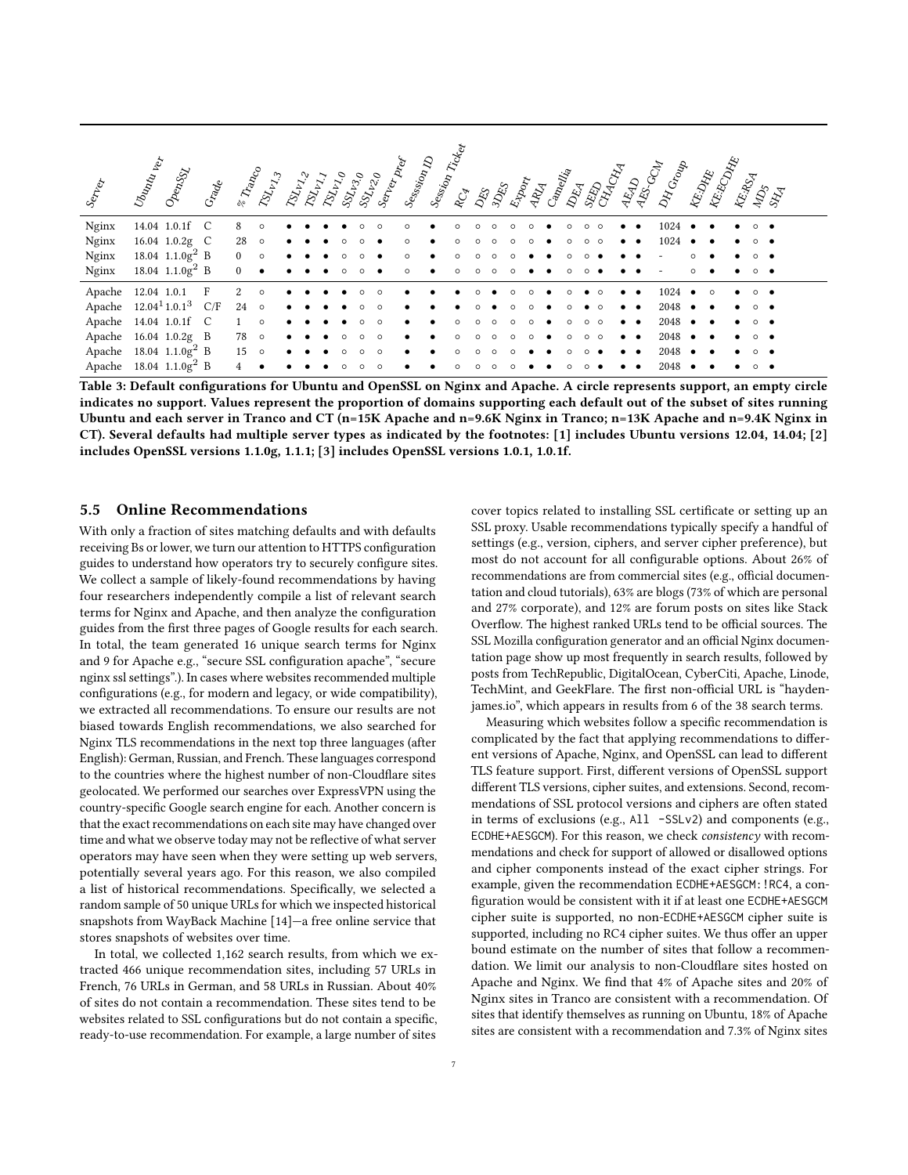<span id="page-6-0"></span>

| Serber                                 | Ubuntu ver<br>OpenSSL                        | Grade        | E Trap         | $\delta z_{k,\chi}$ | $\delta g_{\nu_{Y_{\epsilon_{2}}}}$ | $\delta \mathbf{\hat{y}}_{k_{\mathcal{I},j}}$ | $\delta p_{\chi_{b_{\chi_{0}}}}$ | $\mathcal{S}_{\mathcal{X}_{\mathcal{V}_{\mathcal{Z}_{\mathcal{O}}}}}$ | SSL 20 | Serber, | Session D | Session | Ticket<br>$\mathcal{R}^{\mathcal{C}}_{\mathcal{C}}$ | <b>DES</b> | Export | ARA<br>Canellia | $\mathbb{A}^{\mathbb{F}}$ | <b>RARAN</b> | <b>RASCE</b> | N Croop | RE-DATE | <b>REEQUATE</b> | REARCA |                   | $\mathcal{L}^2_{\mathcal{S}}$ |  |
|----------------------------------------|----------------------------------------------|--------------|----------------|---------------------|-------------------------------------|-----------------------------------------------|----------------------------------|-----------------------------------------------------------------------|--------|---------|-----------|---------|-----------------------------------------------------|------------|--------|-----------------|---------------------------|--------------|--------------|---------|---------|-----------------|--------|-------------------|-------------------------------|--|
| Nginx                                  | 14.04 1.0.1f C                               |              |                | $\circ$             |                                     |                                               |                                  |                                                                       |        |         |           |         |                                                     |            |        |                 |                           |              |              | 1024    |         |                 |        | $\circ$ $\bullet$ |                               |  |
| $\boldsymbol{\mathrm{N}g\mathrm{inx}}$ | 16.04 1.0.2g C                               |              | 28             | $\circ$             |                                     |                                               |                                  |                                                                       |        |         |           |         |                                                     |            |        |                 |                           |              |              | 1024    |         |                 |        |                   |                               |  |
| Nginx                                  | 18.04 $1.1.0g^2$ B                           |              | $\mathbf{0}$   | $\circ$             |                                     |                                               |                                  |                                                                       |        |         |           |         |                                                     |            |        |                 |                           |              |              |         |         |                 |        |                   |                               |  |
| Nginx                                  | 18.04 $1.1.0g^2$ B                           |              | $\Omega$       |                     |                                     |                                               |                                  |                                                                       |        |         |           |         |                                                     |            |        |                 |                           |              |              |         |         |                 |        | $\circ$ $\bullet$ |                               |  |
| Apache                                 | 12.04 1.0.1                                  | $\mathbf{F}$ |                |                     |                                     |                                               |                                  |                                                                       |        |         |           |         |                                                     |            |        |                 |                           |              |              | 1024    |         |                 |        |                   |                               |  |
|                                        | Apache 12.04 <sup>1</sup> 1.0.1 <sup>3</sup> | C/F          | 24             | $\circ$             |                                     |                                               |                                  |                                                                       |        | C       |           |         |                                                     |            |        |                 |                           |              |              | 2048    |         |                 |        |                   |                               |  |
|                                        | Apache 14.04 1.0.1f C                        |              |                | $\circ$             |                                     |                                               |                                  |                                                                       |        |         |           |         |                                                     |            |        |                 |                           |              |              | 2048    |         |                 |        |                   |                               |  |
| Apache                                 | 16.04 1.0.2g B                               |              | 78             | $\circ$             |                                     |                                               |                                  |                                                                       |        |         |           |         |                                                     |            |        |                 |                           |              |              | 2048    |         |                 |        |                   |                               |  |
|                                        | Apache 18.04 1.1.0g <sup>2</sup> B           |              | 15             | $\circ$             |                                     |                                               |                                  |                                                                       |        | $\circ$ |           |         |                                                     |            |        |                 |                           |              |              | 2048    |         |                 |        |                   |                               |  |
|                                        | Apache 18.04 1.1.0g <sup>2</sup> B           |              | $\overline{4}$ |                     |                                     |                                               |                                  |                                                                       |        |         |           |         |                                                     |            |        |                 |                           |              |              | 2048    |         |                 |        |                   |                               |  |

Table 3: Default configurations for Ubuntu and OpenSSL on Nginx and Apache. A circle represents support, an empty circle indicates no support. Values represent the proportion of domains supporting each default out of the subset of sites running Ubuntu and each server in Tranco and CT (n=15K Apache and n=9.6K Nginx in Tranco; n=13K Apache and n=9.4K Nginx in CT). Several defaults had multiple server types as indicated by the footnotes: [1] includes Ubuntu versions 12.04, 14.04; [2] includes OpenSSL versions 1.1.0g, 1.1.1; [3] includes OpenSSL versions 1.0.1, 1.0.1f.

### 5.5 Online Recommendations

With only a fraction of sites matching defaults and with defaults receiving Bs or lower, we turn our attention to HTTPS configuration guides to understand how operators try to securely configure sites. We collect a sample of likely-found recommendations by having four researchers independently compile a list of relevant search terms for Nginx and Apache, and then analyze the configuration guides from the first three pages of Google results for each search. In total, the team generated 16 unique search terms for Nginx and 9 for Apache e.g., "secure SSL configuration apache", "secure nginx ssl settings".). In cases where websites recommended multiple configurations (e.g., for modern and legacy, or wide compatibility), we extracted all recommendations. To ensure our results are not biased towards English recommendations, we also searched for Nginx TLS recommendations in the next top three languages (after English): German, Russian, and French. These languages correspond to the countries where the highest number of non-Cloudflare sites geolocated. We performed our searches over ExpressVPN using the country-specific Google search engine for each. Another concern is that the exact recommendations on each site may have changed over time and what we observe today may not be reflective of what server operators may have seen when they were setting up web servers, potentially several years ago. For this reason, we also compiled a list of historical recommendations. Specifically, we selected a random sample of 50 unique URLs for which we inspected historical snapshots from WayBack Machine [\[14\]](#page-8-48)—a free online service that stores snapshots of websites over time.

In total, we collected 1,162 search results, from which we extracted 466 unique recommendation sites, including 57 URLs in French, 76 URLs in German, and 58 URLs in Russian. About 40% of sites do not contain a recommendation. These sites tend to be websites related to SSL configurations but do not contain a specific, ready-to-use recommendation. For example, a large number of sites

cover topics related to installing SSL certificate or setting up an SSL proxy. Usable recommendations typically specify a handful of settings (e.g., version, ciphers, and server cipher preference), but most do not account for all configurable options. About 26% of recommendations are from commercial sites (e.g., official documentation and cloud tutorials), 63% are blogs (73% of which are personal and 27% corporate), and 12% are forum posts on sites like Stack Overflow. The highest ranked URLs tend to be official sources. The SSL Mozilla configuration generator and an official Nginx documentation page show up most frequently in search results, followed by posts from TechRepublic, DigitalOcean, CyberCiti, Apache, Linode, TechMint, and GeekFlare. The first non-official URL is "haydenjames.io", which appears in results from 6 of the 38 search terms.

Measuring which websites follow a specific recommendation is complicated by the fact that applying recommendations to different versions of Apache, Nginx, and OpenSSL can lead to different TLS feature support. First, different versions of OpenSSL support different TLS versions, cipher suites, and extensions. Second, recommendations of SSL protocol versions and ciphers are often stated in terms of exclusions (e.g., All -SSLv2) and components (e.g., ECDHE+AESGCM). For this reason, we check consistency with recommendations and check for support of allowed or disallowed options and cipher components instead of the exact cipher strings. For example, given the recommendation ECDHE+AESGCM:!RC4, a configuration would be consistent with it if at least one ECDHE+AESGCM cipher suite is supported, no non-ECDHE+AESGCM cipher suite is supported, including no RC4 cipher suites. We thus offer an upper bound estimate on the number of sites that follow a recommendation. We limit our analysis to non-Cloudflare sites hosted on Apache and Nginx. We find that 4% of Apache sites and 20% of Nginx sites in Tranco are consistent with a recommendation. Of sites that identify themselves as running on Ubuntu, 18% of Apache sites are consistent with a recommendation and 7.3% of Nginx sites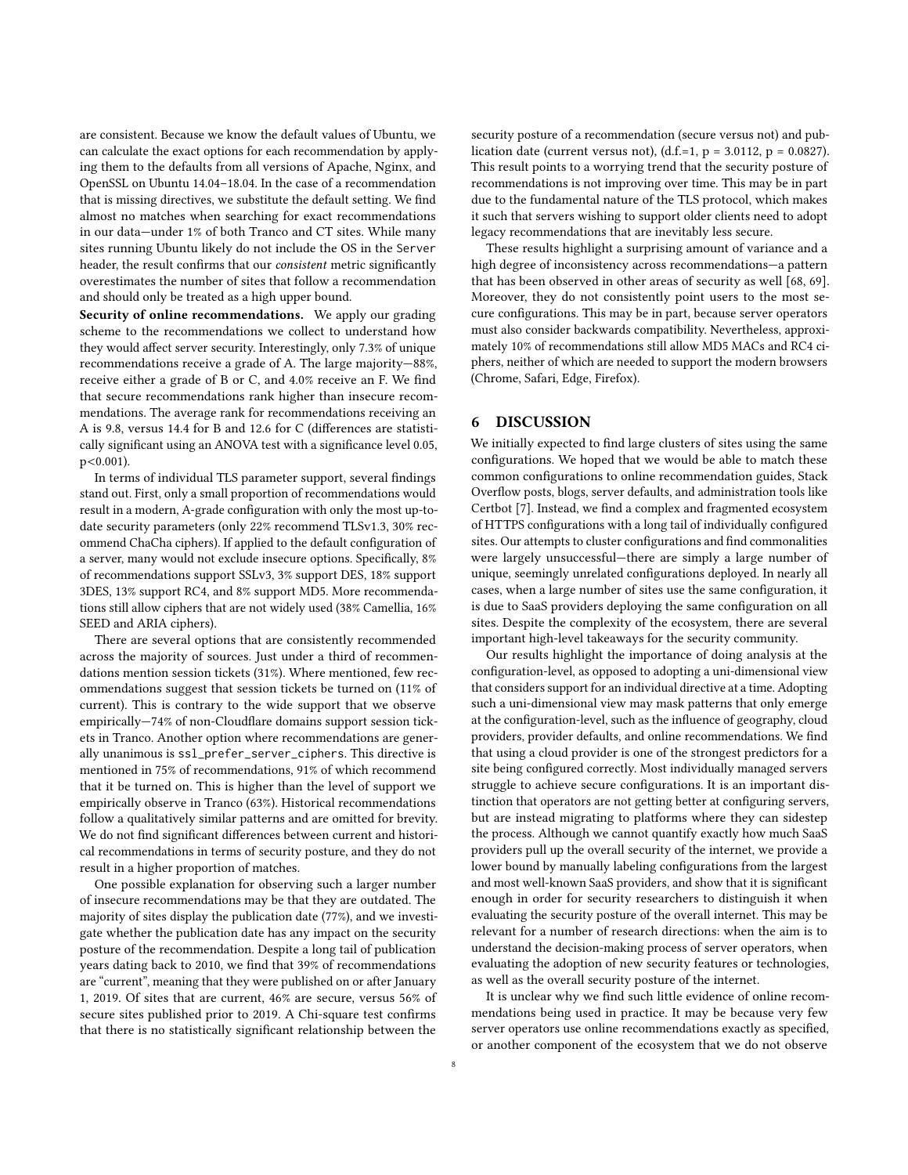are consistent. Because we know the default values of Ubuntu, we can calculate the exact options for each recommendation by applying them to the defaults from all versions of Apache, Nginx, and OpenSSL on Ubuntu 14.04–18.04. In the case of a recommendation that is missing directives, we substitute the default setting. We find almost no matches when searching for exact recommendations in our data—under 1% of both Tranco and CT sites. While many sites running Ubuntu likely do not include the OS in the Server header, the result confirms that our consistent metric significantly overestimates the number of sites that follow a recommendation and should only be treated as a high upper bound.

Security of online recommendations. We apply our grading scheme to the recommendations we collect to understand how they would affect server security. Interestingly, only 7.3% of unique recommendations receive a grade of A. The large majority—88%, receive either a grade of B or C, and 4.0% receive an F. We find that secure recommendations rank higher than insecure recommendations. The average rank for recommendations receiving an A is 9.8, versus 14.4 for B and 12.6 for C (differences are statistically significant using an ANOVA test with a significance level 0.05, p<0.001).

In terms of individual TLS parameter support, several findings stand out. First, only a small proportion of recommendations would result in a modern, A-grade configuration with only the most up-todate security parameters (only 22% recommend TLSv1.3, 30% recommend ChaCha ciphers). If applied to the default configuration of a server, many would not exclude insecure options. Specifically, 8% of recommendations support SSLv3, 3% support DES, 18% support 3DES, 13% support RC4, and 8% support MD5. More recommendations still allow ciphers that are not widely used (38% Camellia, 16% SEED and ARIA ciphers).

There are several options that are consistently recommended across the majority of sources. Just under a third of recommendations mention session tickets (31%). Where mentioned, few recommendations suggest that session tickets be turned on (11% of current). This is contrary to the wide support that we observe empirically—74% of non-Cloudflare domains support session tickets in Tranco. Another option where recommendations are generally unanimous is ssl\_prefer\_server\_ciphers. This directive is mentioned in 75% of recommendations, 91% of which recommend that it be turned on. This is higher than the level of support we empirically observe in Tranco (63%). Historical recommendations follow a qualitatively similar patterns and are omitted for brevity. We do not find significant differences between current and historical recommendations in terms of security posture, and they do not result in a higher proportion of matches.

One possible explanation for observing such a larger number of insecure recommendations may be that they are outdated. The majority of sites display the publication date (77%), and we investigate whether the publication date has any impact on the security posture of the recommendation. Despite a long tail of publication years dating back to 2010, we find that 39% of recommendations are "current", meaning that they were published on or after January 1, 2019. Of sites that are current, 46% are secure, versus 56% of secure sites published prior to 2019. A Chi-square test confirms that there is no statistically significant relationship between the

security posture of a recommendation (secure versus not) and publication date (current versus not), (d.f.=1,  $p = 3.0112$ ,  $p = 0.0827$ ). This result points to a worrying trend that the security posture of recommendations is not improving over time. This may be in part due to the fundamental nature of the TLS protocol, which makes it such that servers wishing to support older clients need to adopt legacy recommendations that are inevitably less secure.

These results highlight a surprising amount of variance and a high degree of inconsistency across recommendations—a pattern that has been observed in other areas of security as well [\[68,](#page-9-21) [69\]](#page-9-22). Moreover, they do not consistently point users to the most secure configurations. This may be in part, because server operators must also consider backwards compatibility. Nevertheless, approximately 10% of recommendations still allow MD5 MACs and RC4 ciphers, neither of which are needed to support the modern browsers (Chrome, Safari, Edge, Firefox).

### 6 DISCUSSION

We initially expected to find large clusters of sites using the same configurations. We hoped that we would be able to match these common configurations to online recommendation guides, Stack Overflow posts, blogs, server defaults, and administration tools like Certbot [\[7\]](#page-8-8). Instead, we find a complex and fragmented ecosystem of HTTPS configurations with a long tail of individually configured sites. Our attempts to cluster configurations and find commonalities were largely unsuccessful—there are simply a large number of unique, seemingly unrelated configurations deployed. In nearly all cases, when a large number of sites use the same configuration, it is due to SaaS providers deploying the same configuration on all sites. Despite the complexity of the ecosystem, there are several important high-level takeaways for the security community.

Our results highlight the importance of doing analysis at the configuration-level, as opposed to adopting a uni-dimensional view that considers support for an individual directive at a time. Adopting such a uni-dimensional view may mask patterns that only emerge at the configuration-level, such as the influence of geography, cloud providers, provider defaults, and online recommendations. We find that using a cloud provider is one of the strongest predictors for a site being configured correctly. Most individually managed servers struggle to achieve secure configurations. It is an important distinction that operators are not getting better at configuring servers, but are instead migrating to platforms where they can sidestep the process. Although we cannot quantify exactly how much SaaS providers pull up the overall security of the internet, we provide a lower bound by manually labeling configurations from the largest and most well-known SaaS providers, and show that it is significant enough in order for security researchers to distinguish it when evaluating the security posture of the overall internet. This may be relevant for a number of research directions: when the aim is to understand the decision-making process of server operators, when evaluating the adoption of new security features or technologies, as well as the overall security posture of the internet.

It is unclear why we find such little evidence of online recommendations being used in practice. It may be because very few server operators use online recommendations exactly as specified, or another component of the ecosystem that we do not observe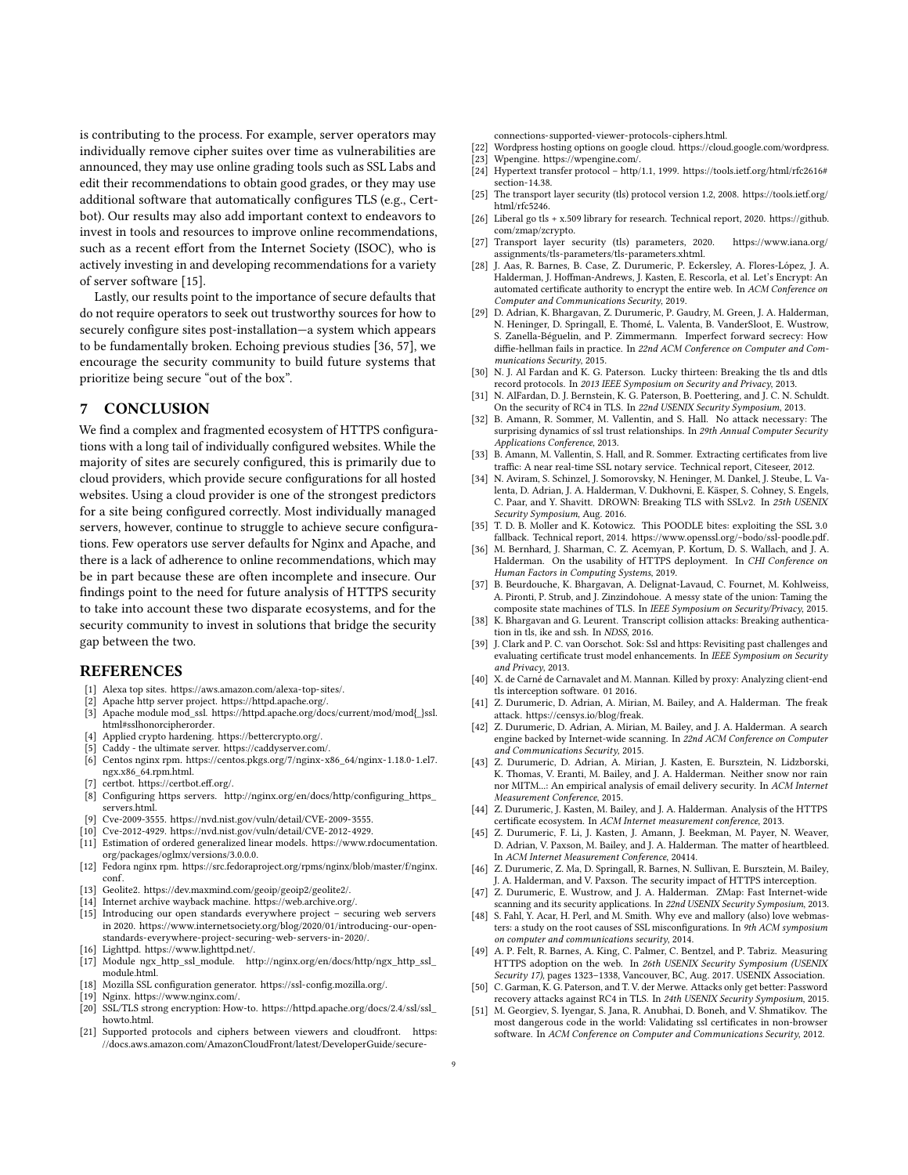is contributing to the process. For example, server operators may individually remove cipher suites over time as vulnerabilities are announced, they may use online grading tools such as SSL Labs and edit their recommendations to obtain good grades, or they may use additional software that automatically configures TLS (e.g., Certbot). Our results may also add important context to endeavors to invest in tools and resources to improve online recommendations, such as a recent effort from the Internet Society (ISOC), who is actively investing in and developing recommendations for a variety of server software [\[15\]](#page-8-49).

Lastly, our results point to the importance of secure defaults that do not require operators to seek out trustworthy sources for how to securely configure sites post-installation—a system which appears to be fundamentally broken. Echoing previous studies [\[36,](#page-8-9) [57\]](#page-9-4), we encourage the security community to build future systems that prioritize being secure "out of the box".

# 7 CONCLUSION

We find a complex and fragmented ecosystem of HTTPS configurations with a long tail of individually configured websites. While the majority of sites are securely configured, this is primarily due to cloud providers, which provide secure configurations for all hosted websites. Using a cloud provider is one of the strongest predictors for a site being configured correctly. Most individually managed servers, however, continue to struggle to achieve secure configurations. Few operators use server defaults for Nginx and Apache, and there is a lack of adherence to online recommendations, which may be in part because these are often incomplete and insecure. Our findings point to the need for future analysis of HTTPS security to take into account these two disparate ecosystems, and for the security community to invest in solutions that bridge the security gap between the two.

# **REFERENCES**

- <span id="page-8-38"></span>[1] Alexa top sites. [https://aws.amazon.com/alexa-top-sites/.](https://aws.amazon.com/alexa-top-sites/)
- <span id="page-8-29"></span>[2] Apache http server project. [https://httpd.apache.org/.](https://httpd.apache.org/)
- <span id="page-8-47"></span>[3] Apache module mod\_ssl. [https://httpd.apache.org/docs/current/mod/mod{\\_}ssl.](https://httpd.apache.org/docs/current/mod/mod{_}ssl.html#sslhonorcipherorder) [html#sslhonorcipherorder.](https://httpd.apache.org/docs/current/mod/mod{_}ssl.html#sslhonorcipherorder)
- <span id="page-8-6"></span>[4] Applied crypto hardening. [https://bettercrypto.org/.](https://bettercrypto.org/)
- <span id="page-8-43"></span>Caddy - the ultimate server. [https://caddyserver.com/.](https://caddyserver.com/)
- <span id="page-8-46"></span>[6] Centos nginx rpm. [https://centos.pkgs.org/7/nginx-x86\\_64/nginx-1.18.0-1.el7.](https://centos.pkgs.org/7/nginx-x86_64/nginx-1.18.0-1.el7.ngx.x86_64.rpm.html) [ngx.x86\\_64.rpm.html.](https://centos.pkgs.org/7/nginx-x86_64/nginx-1.18.0-1.el7.ngx.x86_64.rpm.html)
- <span id="page-8-8"></span>[7] certbot. [https://certbot.eff.org/.](https://certbot.eff.org/)
- <span id="page-8-32"></span>[8] Configuring https servers. [http://nginx.org/en/docs/http/configuring\\_https\\_](http://nginx.org/en/docs/http/configuring_https_servers.html) [servers.html.](http://nginx.org/en/docs/http/configuring_https_servers.html)
- <span id="page-8-2"></span>[9] Cve-2009-3555. [https://nvd.nist.gov/vuln/detail/CVE-2009-3555.](https://nvd.nist.gov/vuln/detail/CVE-2009-3555)
- <span id="page-8-15"></span>[10] Cve-2012-4929. [https://nvd.nist.gov/vuln/detail/CVE-2012-4929.](https://nvd.nist.gov/vuln/detail/CVE-2012-4929)
- <span id="page-8-42"></span>[11] Estimation of ordered generalized linear models. [https://www.rdocumentation.](https://www.rdocumentation.org/packages/oglmx/versions/3.0.0.0) [org/packages/oglmx/versions/3.0.0.0.](https://www.rdocumentation.org/packages/oglmx/versions/3.0.0.0)
- <span id="page-8-45"></span>[12] Fedora nginx rpm. [https://src.fedoraproject.org/rpms/nginx/blob/master/f/nginx.](https://src.fedoraproject.org/rpms/nginx/blob/master/f/nginx.conf) [conf.](https://src.fedoraproject.org/rpms/nginx/blob/master/f/nginx.conf)
- <span id="page-8-37"></span>[13] Geolite2. [https://dev.maxmind.com/geoip/geoip2/geolite2/.](https://dev.maxmind.com/geoip/geoip2/geolite2/)
- <span id="page-8-49"></span><span id="page-8-48"></span>Internet archive wayback machine. [https://web.archive.org/.](https://web.archive.org/) [15] Introducing our open standards everywhere project - securing web servers in 2020. [https://www.internetsociety.org/blog/2020/01/introducing-our-open-](https://www.internetsociety.org/blog/2020/01/introducing-our-open-standards-everywhere-project-securing-web-servers-in-2020/)
- [standards-everywhere-project-securing-web-servers-in-2020/.](https://www.internetsociety.org/blog/2020/01/introducing-our-open-standards-everywhere-project-securing-web-servers-in-2020/)
- <span id="page-8-44"></span><span id="page-8-31"></span>[16] Lighttpd. [https://www.lighttpd.net/.](https://www.lighttpd.net/) [17] Module ngx\_http\_ssl\_module. [http://nginx.org/en/docs/http/ngx\\_http\\_ssl\\_](http://nginx.org/en/docs/http/ngx_http_ssl_module.html) [module.html.](http://nginx.org/en/docs/http/ngx_http_ssl_module.html)
- <span id="page-8-7"></span>[18] Mozilla SSL configuration generator. [https://ssl-config.mozilla.org/.](https://ssl-config.mozilla.org/)
- <span id="page-8-30"></span>
- <span id="page-8-33"></span>[19] Nginx. [https://www.nginx.com/.](https://www.nginx.com/)<br>[20] SSL/TLS strong encryption: Hoy SSL/TLS strong encryption: How-to. [https://httpd.apache.org/docs/2.4/ssl/ssl\\_](https://httpd.apache.org/docs/2.4/ssl/ssl_howto.html) [howto.html.](https://httpd.apache.org/docs/2.4/ssl/ssl_howto.html)
- <span id="page-8-39"></span>[21] Supported protocols and ciphers between viewers and cloudfront. [https:](https://docs.aws.amazon.com/AmazonCloudFront/latest/DeveloperGuide/secure-connections-supported-viewer-protocols-ciphers.html) [//docs.aws.amazon.com/AmazonCloudFront/latest/DeveloperGuide/secure-](https://docs.aws.amazon.com/AmazonCloudFront/latest/DeveloperGuide/secure-connections-supported-viewer-protocols-ciphers.html)

[connections-supported-viewer-protocols-ciphers.html.](https://docs.aws.amazon.com/AmazonCloudFront/latest/DeveloperGuide/secure-connections-supported-viewer-protocols-ciphers.html)

- <span id="page-8-40"></span>[22] Wordpress hosting options on google cloud. [https://cloud.google.com/wordpress.](https://cloud.google.com/wordpress)
- <span id="page-8-41"></span>[23] Wpengine. [https://wpengine.com/.](https://wpengine.com/)
- <span id="page-8-36"></span>[24] Hypertext transfer protocol – http/1.1, 1999. [https://tools.ietf.org/html/rfc2616#](https://tools.ietf.org/html/rfc2616#section-14.38) [section-14.38.](https://tools.ietf.org/html/rfc2616#section-14.38)
- <span id="page-8-28"></span>[25] The transport layer security (tls) protocol version 1.2, 2008. [https://tools.ietf.org/](https://tools.ietf.org/html/rfc5246) [html/rfc5246.](https://tools.ietf.org/html/rfc5246)
- <span id="page-8-34"></span>[26] Liberal go tls + x.509 library for research. Technical report, 2020. [https://github.](https://github.com/zmap/zcrypto) [com/zmap/zcrypto.](https://github.com/zmap/zcrypto)
- <span id="page-8-0"></span>[27] Transport layer security (tls) parameters, 2020. [https://www.iana.org/](https://www.iana.org/assignments/tls-parameters/tls-parameters.xhtml) [assignments/tls-parameters/tls-parameters.xhtml.](https://www.iana.org/assignments/tls-parameters/tls-parameters.xhtml)
- <span id="page-8-25"></span>[28] J. Aas, R. Barnes, B. Case, Z. Durumeric, P. Eckersley, A. Flores-López, J. A. Halderman, J. Hoffman-Andrews, J. Kasten, E. Rescorla, et al. Let's Encrypt: An automated certificate authority to encrypt the entire web. In ACM Conference on Computer and Communications Security, 2019.
- <span id="page-8-1"></span>[29] D. Adrian, K. Bhargavan, Z. Durumeric, P. Gaudry, M. Green, J. A. Halderman, N. Heninger, D. Springall, E. Thomé, L. Valenta, B. VanderSloot, E. Wustrow, S. Zanella-Béguelin, and P. Zimmermann. Imperfect forward secrecy: How diffie-hellman fails in practice. In 22nd ACM Conference on Computer and Communications Security, 2015.
- [30] N. J. Al Fardan and K. G. Paterson. Lucky thirteen: Breaking the tls and dtls record protocols. In 2013 IEEE Symposium on Security and Privacy, 2013.
- <span id="page-8-16"></span>[31] N. AlFardan, D. J. Bernstein, K. G. Paterson, B. Poettering, and J. C. N. Schuldt. On the security of RC4 in TLS. In 22nd USENIX Security Symposium, 2013.
- <span id="page-8-21"></span>[32] B. Amann, R. Sommer, M. Vallentin, and S. Hall. No attack necessary: The surprising dynamics of ssl trust relationships. In 29th Annual Computer Security Applications Conference, 2013.
- <span id="page-8-27"></span>[33] B. Amann, M. Vallentin, S. Hall, and R. Sommer. Extracting certificates from live traffic: A near real-time SSL notary service. Technical report, Citeseer, 2012.
- <span id="page-8-3"></span>[34] N. Aviram, S. Schinzel, J. Somorovsky, N. Heninger, M. Dankel, J. Steube, L. Valenta, D. Adrian, J. A. Halderman, V. Dukhovni, E. Käsper, S. Cohney, S. Engels, C. Paar, and Y. Shavitt. DROWN: Breaking TLS with SSLv2. In 25th USENIX Security Symposium, Aug. 2016.
- <span id="page-8-4"></span>[35] T. D. B. Moller and K. Kotowicz. This POODLE bites: exploiting the SSL 3.0 fallback. Technical report, 2014. [https://www.openssl.org/~bodo/ssl-poodle.pdf.](https://www.openssl.org/~bodo/ssl-poodle.pdf)
- <span id="page-8-9"></span>[36] M. Bernhard, J. Sharman, C. Z. Acemyan, P. Kortum, D. S. Wallach, and J. A. Halderman. On the usability of HTTPS deployment. In CHI Conference on Human Factors in Computing Systems, 2019.
- <span id="page-8-17"></span>[37] B. Beurdouche, K. Bhargavan, A. Delignat-Lavaud, C. Fournet, M. Kohlweiss, A. Pironti, P. Strub, and J. Zinzindohoue. A messy state of the union: Taming the composite state machines of TLS. In IEEE Symposium on Security/Privacy, 2015.
- <span id="page-8-18"></span>[38] K. Bhargavan and G. Leurent. Transcript collision attacks: Breaking authentication in tls, ike and ssh. In NDSS, 2016.
- <span id="page-8-22"></span>[39] J. Clark and P. C. van Oorschot. Sok: Ssl and https: Revisiting past challenges and evaluating certificate trust model enhancements. In IEEE Symposium on Security and Privacy, 2013.
- <span id="page-8-10"></span>[40] X. de Carné de Carnavalet and M. Mannan. Killed by proxy: Analyzing client-end tls interception software. 01 2016.
- <span id="page-8-5"></span>[41] Z. Durumeric, D. Adrian, A. Mirian, M. Bailey, and A. Halderman. The freak attack. [https://censys.io/blog/freak.](https://censys.io/blog/freak)
- <span id="page-8-13"></span>[42] Z. Durumeric, D. Adrian, A. Mirian, M. Bailey, and J. A. Halderman. A search engine backed by Internet-wide scanning. In 22nd ACM Conference on Computer and Communications Security, 2015.
- <span id="page-8-14"></span>[43] Z. Durumeric, D. Adrian, A. Mirian, J. Kasten, E. Bursztein, N. Lidzborski, K. Thomas, V. Eranti, M. Bailey, and J. A. Halderman. Neither snow nor rain nor MITM...: An empirical analysis of email delivery security. In ACM Internet Measurement Conference, 2015.
- <span id="page-8-23"></span>[44] Z. Durumeric, J. Kasten, M. Bailey, and J. A. Halderman. Analysis of the HTTPS certificate ecosystem. In ACM Internet measurement conference, 2013.
- <span id="page-8-19"></span>[45] Z. Durumeric, F. Li, J. Kasten, J. Amann, J. Beekman, M. Payer, N. Weaver, D. Adrian, V. Paxson, M. Bailey, and J. A. Halderman. The matter of heartbleed. In ACM Internet Measurement Conference, 20414.
- <span id="page-8-11"></span>[46] Z. Durumeric, Z. Ma, D. Springall, R. Barnes, N. Sullivan, E. Bursztein, M. Bailey, J. A. Halderman, and V. Paxson. The security impact of HTTPS interception.
- <span id="page-8-35"></span>[47] Z. Durumeric, E. Wustrow, and J. A. Halderman. ZMap: Fast Internet-wide scanning and its security applications. In 22nd USENIX Security Symposium, 2013.
- <span id="page-8-24"></span>[48] S. Fahl, Y. Acar, H. Perl, and M. Smith. Why eve and mallory (also) love webmasters: a study on the root causes of SSL misconfigurations. In 9th ACM symposium on computer and communications security, 2014.
- <span id="page-8-26"></span>[49] A. P. Felt, R. Barnes, A. King, C. Palmer, C. Bentzel, and P. Tabriz. Measuring HTTPS adoption on the web. In 26th USENIX Security Symposium (USENIX Security 17), pages 1323–1338, Vancouver, BC, Aug. 2017. USENIX Association.
- <span id="page-8-20"></span>[50] C. Garman, K. G. Paterson, and T. V. der Merwe. Attacks only get better: Password recovery attacks against RC4 in TLS. In 24th USENIX Security Symposium, 2015.
- <span id="page-8-12"></span>[51] M. Georgiev, S. Iyengar, S. Jana, R. Anubhai, D. Boneh, and V. Shmatikov. The most dangerous code in the world: Validating ssl certificates in non-browser software. In ACM Conference on Computer and Communications Security, 2012.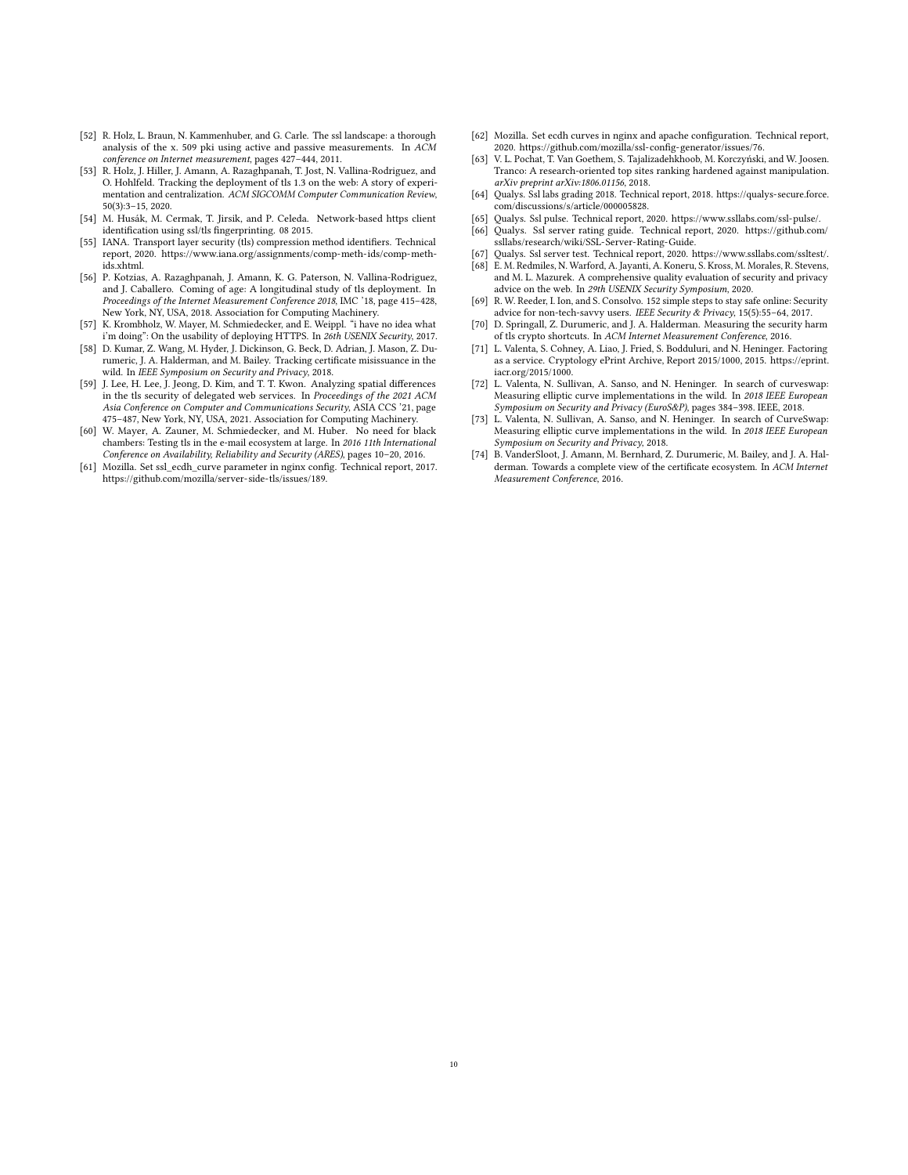- <span id="page-9-9"></span>[52] R. Holz, L. Braun, N. Kammenhuber, and G. Carle. The ssl landscape: a thorough analysis of the x. 509 pki using active and passive measurements. In ACM conference on Internet measurement, pages 427–444, 2011.
- <span id="page-9-11"></span>[53] R. Holz, J. Hiller, J. Amann, A. Razaghpanah, T. Jost, N. Vallina-Rodriguez, and O. Hohlfeld. Tracking the deployment of tls 1.3 on the web: A story of experimentation and centralization. ACM SIGCOMM Computer Communication Review, 50(3):3–15, 2020.
- <span id="page-9-5"></span>[54] M. Husák, M. Cermak, T. Jirsik, and P. Celeda. Network-based https client identification using ssl/tls fingerprinting. 08 2015.
- <span id="page-9-17"></span>[55] IANA. Transport layer security (tls) compression method identifiers. Technical report, 2020. [https://www.iana.org/assignments/comp-meth-ids/comp-meth](https://www.iana.org/assignments/comp-meth-ids/comp-meth-ids.xhtml)[ids.xhtml.](https://www.iana.org/assignments/comp-meth-ids/comp-meth-ids.xhtml)
- <span id="page-9-0"></span>[56] P. Kotzias, A. Razaghpanah, J. Amann, K. G. Paterson, N. Vallina-Rodriguez, and J. Caballero. Coming of age: A longitudinal study of tls deployment. In Proceedings of the Internet Measurement Conference 2018, IMC '18, page 415–428, New York, NY, USA, 2018. Association for Computing Machinery.
- <span id="page-9-4"></span>[57] K. Krombholz, W. Mayer, M. Schmiedecker, and E. Weippl. "i have no idea what i'm doing": On the usability of deploying HTTPS. In 26th USENIX Security, 2017.
- <span id="page-9-16"></span>[58] D. Kumar, Z. Wang, M. Hyder, J. Dickinson, G. Beck, D. Adrian, J. Mason, Z. Durumeric, J. A. Halderman, and M. Bailey. Tracking certificate misissuance in the wild. In IEEE Symposium on Security and Privacy, 2018.
- <span id="page-9-13"></span>[59] J. Lee, H. Lee, J. Jeong, D. Kim, and T. T. Kwon. Analyzing spatial differences in the tls security of delegated web services. In Proceedings of the 2021 ACM Asia Conference on Computer and Communications Security, ASIA CCS '21, page 475–487, New York, NY, USA, 2021. Association for Computing Machinery.
- <span id="page-9-6"></span>[60] W. Mayer, A. Zauner, M. Schmiedecker, and M. Huber. No need for black chambers: Testing tls in the e-mail ecosystem at large. In 2016 11th International Conference on Availability, Reliability and Security (ARES), pages 10–20, 2016.
- <span id="page-9-19"></span>[61] Mozilla. Set ssl\_ecdh\_curve parameter in nginx config. Technical report, 2017. [https://github.com/mozilla/server-side-tls/issues/189.](https://github.com/mozilla/server-side-tls/issues/189)
- <span id="page-9-20"></span>[62] Mozilla. Set ecdh curves in nginx and apache configuration. Technical report, 2020. [https://github.com/mozilla/ssl-config-generator/issues/76.](https://github.com/mozilla/ssl-config-generator/issues/76)
- <span id="page-9-3"></span>[63] V. L. Pochat, T. Van Goethem, S. Tajalizadehkhoob, M. Korczyński, and W. Joosen. Tranco: A research-oriented top sites ranking hardened against manipulation. arXiv preprint arXiv:1806.01156, 2018.
- <span id="page-9-14"></span>[64] Qualys. Ssl labs grading 2018. Technical report, 2018. [https://qualys-secure.force.](https://qualys-secure.force.com/discussions/s/article/000005828) [com/discussions/s/article/000005828.](https://qualys-secure.force.com/discussions/s/article/000005828)
- <span id="page-9-15"></span><span id="page-9-12"></span>[65] Qualys. Ssl pulse. Technical report, 2020. [https://www.ssllabs.com/ssl-pulse/.](https://www.ssllabs.com/ssl-pulse/) [66] Qualys. Ssl server rating guide. Technical report, 2020. [https://github.com/](https://github.com/ssllabs/research/wiki/SSL-Server-Rating-Guide)
- [ssllabs/research/wiki/SSL-Server-Rating-Guide.](https://github.com/ssllabs/research/wiki/SSL-Server-Rating-Guide)
- <span id="page-9-21"></span><span id="page-9-2"></span>[67] Qualys. Ssl server test. Technical report, 2020. [https://www.ssllabs.com/ssltest/.](https://www.ssllabs.com/ssltest/) E. M. Redmiles, N. Warford, A. Jayanti, A. Koneru, S. Kross, M. Morales, R. Stevens, and M. L. Mazurek. A comprehensive quality evaluation of security and privacy advice on the web. In 29th USENIX Security Symposium, 2020.
- <span id="page-9-22"></span>[69] R. W. Reeder, I. Ion, and S. Consolvo. 152 simple steps to stay safe online: Security advice for non-tech-savvy users. IEEE Security & Privacy, 15(5):55-64, 2017.
- <span id="page-9-1"></span>[70] D. Springall, Z. Durumeric, and J. A. Halderman. Measuring the security harm of tls crypto shortcuts. In ACM Internet Measurement Conference, 2016.
- <span id="page-9-7"></span>[71] L. Valenta, S. Cohney, A. Liao, J. Fried, S. Bodduluri, and N. Heninger. Factoring as a service. Cryptology ePrint Archive, Report 2015/1000, 2015. [https://eprint.](https://eprint.iacr.org/2015/1000) [iacr.org/2015/1000.](https://eprint.iacr.org/2015/1000)
- <span id="page-9-8"></span>[72] L. Valenta, N. Sullivan, A. Sanso, and N. Heninger. In search of curveswap: Measuring elliptic curve implementations in the wild. In 2018 IEEE European Symposium on Security and Privacy (EuroS&P), pages 384-398. IEEE, 2018.
- <span id="page-9-18"></span>[73] L. Valenta, N. Sullivan, A. Sanso, and N. Heninger. In search of CurveSwap: Measuring elliptic curve implementations in the wild. In 2018 IEEE European Symposium on Security and Privacy, 2018.
- <span id="page-9-10"></span>[74] B. VanderSloot, J. Amann, M. Bernhard, Z. Durumeric, M. Bailey, and J. A. Halderman. Towards a complete view of the certificate ecosystem. In ACM Internet Measurement Conference, 2016.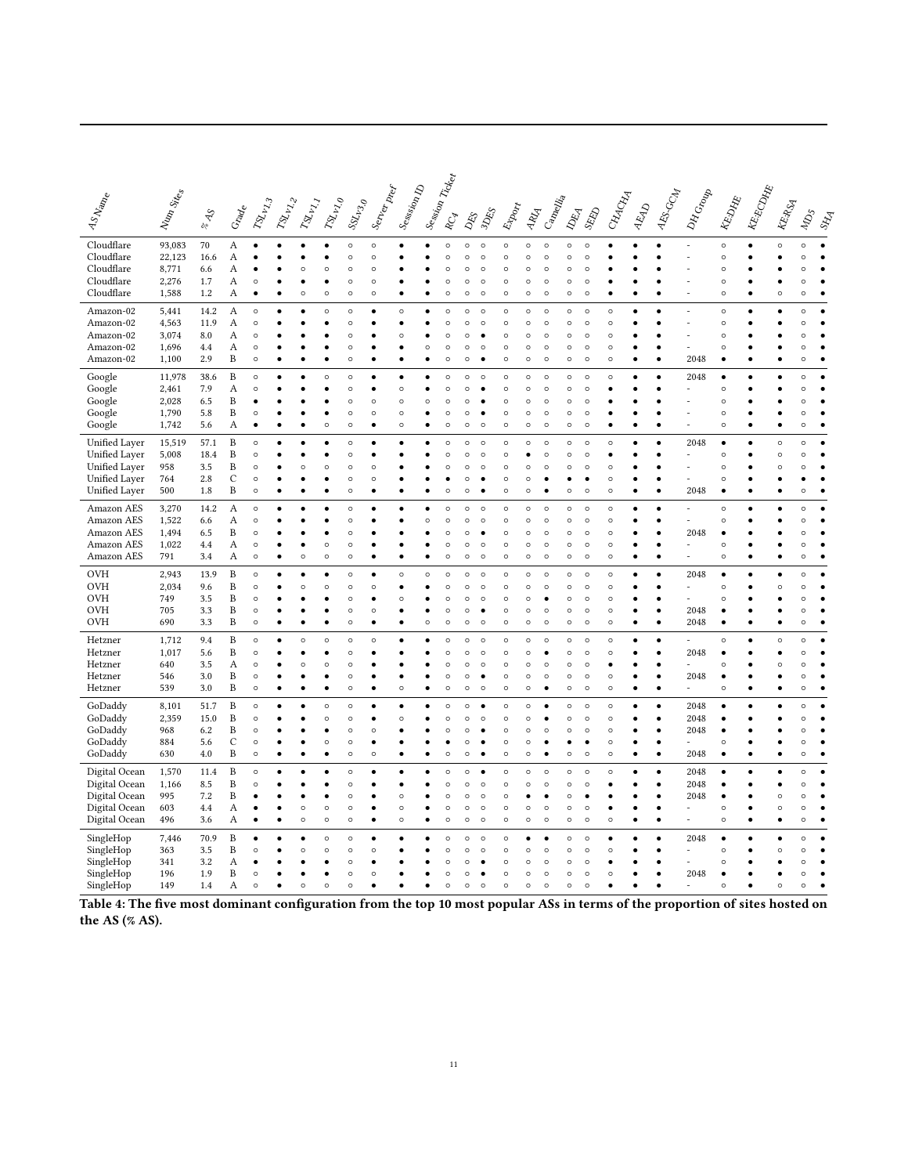<span id="page-10-0"></span>

| AS Name                  | Nun Sites       | $\frac{1}{2}$<br>$\sqrt[3]{\circ}$ | Grade        | $\delta z_{\nu_{\chi_3}}$ | $\mathit{v}_{\!\scriptscriptstyle 2\!p_{\!\scriptscriptstyle 2\!2}}$ | $\delta \! \hat{y}_{\nu_{\chi_{I}}}$ | $\delta g_{\nu_{V_{\tau_{\mathcal{O}}}}}$ | $\mathcal{S}^{\chi}_{\mathcal{V}\mathcal{S}_{\mathcal{O}}}$ | Server pref          | Session D          |         | I Session Tickey<br>$\delta_{\!\!\mathcal{C}\! \widetilde{\varphi}}$ |                    | DES S              | Export             | REA                | Cancellia          |                    | <b>RAND</b>        | CHACKA             | READ      | AES-GCM                | DH Group       | <b>REDATE</b>      | <b>KE-ECOMB</b> | <b>REARS</b> | $\delta_{\!\!\mathcal{D}}$ |   |
|--------------------------|-----------------|------------------------------------|--------------|---------------------------|----------------------------------------------------------------------|--------------------------------------|-------------------------------------------|-------------------------------------------------------------|----------------------|--------------------|---------|----------------------------------------------------------------------|--------------------|--------------------|--------------------|--------------------|--------------------|--------------------|--------------------|--------------------|-----------|------------------------|----------------|--------------------|-----------------|--------------|----------------------------|---|
| Cloudflare               | 93,083          | 70                                 | A            |                           |                                                                      |                                      |                                           | $\circ$                                                     | $\circ$              |                    |         | $\epsilon$                                                           | $\circ$            | $\circ$            | $\circ$            | $\circ$            | $\circ$            | $\circ$            | $\circ$            |                    |           |                        |                | $\circ$            |                 | $\circ$      | $\circ$                    |   |
| Cloudflare<br>Cloudflare | 22,123<br>8,771 | 16.6                               | А<br>А       |                           |                                                                      | $\circ$                              | $\circ$                                   | $\circ$<br>$\circ$                                          | $\circ$<br>$\circ$   |                    |         | C<br>C                                                               | $\circ$<br>$\circ$ | $\circ$<br>$\circ$ | $\circ$<br>$\circ$ | $\circ$<br>$\circ$ | $\circ$<br>$\circ$ | $\circ$<br>$\circ$ | $\circ$<br>$\circ$ |                    |           |                        |                | $\circ$<br>$\circ$ |                 |              | $\Omega$<br>$\circ$        |   |
| Cloudflare               | 2,276           | 6.6<br>1.7                         | Α            | $\circ$                   |                                                                      |                                      |                                           | $\circ$                                                     | $\circ$              |                    |         | C                                                                    | $\circ$            | $\circ$            | $\circ$            | $\circ$            | $\circ$            | $\circ$            | $\circ$            |                    |           |                        |                | Ó                  |                 |              | $\circ$                    |   |
| Cloudflare               | 1,588           | 1.2                                | А            |                           |                                                                      | $\circ$                              | $\circ$                                   | $\circ$                                                     | $\circ$              |                    |         | C                                                                    | $\circ$            | $\circ$            | $\circ$            | $\circ$            | $\circ$            | $\circ$            | $\circ$            |                    |           |                        |                | $\circ$            |                 | $\circ$      | $\circ$                    |   |
| Amazon-02                | 5,441           | 14.2                               | А            | $\circ$                   |                                                                      |                                      | $\circ$                                   | $\circ$                                                     | ٠                    | $\circ$            |         | C                                                                    | $\circ$            | $\circ$            | $\circ$            | $\circ$            | $\circ$            | $\circ$            | $\circ$            | $\circ$            |           |                        | L,             | $\circ$            |                 | ٠            | $\circ$                    |   |
| Amazon-02                | 4,563           | 11.9                               | Α            | $\circ$                   |                                                                      |                                      |                                           | $\circ$                                                     |                      |                    |         | C                                                                    | $\circ$            | $\circ$            | $\circ$            | $\circ$            | $\circ$            | $\circ$            | $\circ$            | $\circ$            |           | Ċ                      | L,             | $\circ$            |                 | ٠            | $\circ$                    |   |
| Amazon-02                | 3,074           | 8.0                                | А            | $\circ$                   |                                                                      |                                      |                                           | $\circ$                                                     |                      | $\circ$            |         | $\epsilon$                                                           | $\circ$            |                    | $\circ$            | $\circ$            | $\circ$            | $\circ$            | $\circ$            | $\circ$            |           |                        |                | $\circ$            |                 |              | $\circ$                    |   |
| Amazon-02                | 1,696           | 4.4                                | А            | $\circ$                   |                                                                      |                                      |                                           | $\circ$                                                     |                      |                    | O       | C                                                                    | $\circ$            | $\circ$            | $\circ$            | $\circ$            | $\circ$            | $\circ$            | $\circ$            | $\circ$            |           | Ċ<br>ċ                 |                | Ó                  |                 |              | $\circ$                    |   |
| Amazon-02                | 1,100           | 2.9                                | B            | $\circ$                   |                                                                      |                                      |                                           | $\circ$                                                     |                      |                    |         | C                                                                    | $\circ$            |                    | $\circ$            | $\circ$            | $\circ$            | $\circ$            | $\circ$            | $\circ$            |           |                        | 2048           |                    |                 |              | $\circ$                    |   |
| Google                   | 11,978          | 38.6                               | B            | $\circ$                   |                                                                      |                                      | $\circ$                                   | $\circ$                                                     |                      |                    |         | C                                                                    | $\circ$            | $\circ$            | $\circ$            | $\circ$            | $\circ$            | $\circ$            | $\circ$            | $\circ$            |           |                        | 2048           |                    |                 |              | $\circ$                    |   |
| Google<br>Google         | 2,461<br>2,028  | 7.9<br>6.5                         | А<br>B       | $\circ$<br>$\bullet$      |                                                                      |                                      |                                           | $\circ$<br>$\circ$                                          | $\bullet$<br>$\circ$ | $\circ$<br>$\circ$ | $\circ$ | C<br>C                                                               | $\circ$<br>$\circ$ | ٠                  | $\circ$<br>$\circ$ | $\circ$<br>$\circ$ | $\circ$<br>$\circ$ | $\circ$<br>$\circ$ | $\circ$<br>O       |                    |           | $\bullet$              |                | $\circ$<br>$\circ$ |                 | ٠            | $\circ$<br>$\circ$         |   |
| Google                   | 1,790           | 5.8                                | B            | $\circ$                   |                                                                      |                                      |                                           | $\circ$                                                     | $\circ$              | $\circ$            |         | C                                                                    | $\circ$            |                    | $\circ$            | $\circ$            | $\circ$            | $\circ$            | $\circ$            |                    |           |                        |                | $\circ$            |                 | ٠            | $\circ$                    |   |
| Google                   | 1,742           | 5.6                                | А            | $\bullet$                 | ٠                                                                    |                                      | $\circ$                                   | $\circ$                                                     | ٠                    | $\circ$            |         | $\circ$                                                              | $\circ$            | $\circ$            | $\circ$            | $\circ$            | $\circ$            | $\circ$            | $\circ$            | ٠                  | c         | Ċ                      | $\overline{a}$ | $\circ$            | $\bullet$       | $\bullet$    | $\circ$                    | ٠ |
| Unified Layer            | 15,519          | 57.1                               | B            | $\circ$                   |                                                                      |                                      |                                           | $\circ$                                                     |                      |                    |         | C                                                                    | $\circ$            | $\circ$            | $\circ$            | $\circ$            | $\circ$            | $\circ$            | $\circ$            | $\circ$            |           |                        | 2048           | ٠                  |                 | $\circ$      | $\circ$                    |   |
| <b>Unified Layer</b>     | 5,008           | 18.4                               | B            | $\circ$                   |                                                                      |                                      |                                           | $\circ$                                                     |                      |                    |         | C                                                                    | $\circ$            | $\circ$            | $\circ$            |                    | $\circ$            | d                  | $\circ$            |                    |           |                        | L,             | $\circ$            |                 | $\circ$      | $\circ$                    |   |
| Unified Layer            | 958             | 3.5                                | $\, {\bf B}$ | $\circ$                   |                                                                      | $\circ$                              | O                                         | $\circ$                                                     | $\circ$              |                    |         | C                                                                    | $\circ$            | $\circ$            | $\circ$            | $\circ$            | $\circ$            | $\circ$            | O                  | $\circ$            |           | ٠                      | $\overline{a}$ | $\circ$            |                 | $\circ$      | $\circ$                    |   |
| Unified Layer            | 764             | 2.8                                | C            | $\circ$                   |                                                                      |                                      |                                           | $\circ$                                                     | $\circ$              |                    |         |                                                                      | $\circ$            |                    | $\circ$            | $\circ$            | ċ                  | ٠                  | ٠                  | $\circ$            |           | $\bullet$              | L,             | $\circ$            |                 | ٠            |                            |   |
| Unified Layer            | 500             | 1.8                                | B            | $\circ$                   |                                                                      |                                      |                                           | $\circ$                                                     | $\bullet$            |                    |         | $\epsilon$                                                           | $\circ$            |                    | $\circ$            | $\circ$            |                    | $\circ$            | $\circ$            | $\circ$            |           | $\bullet$              | 2048           | ٠                  |                 | ٠            | $\circ$                    |   |
| Amazon AES               | 3,270           | 14.2                               | А            | $\circ$                   | ٠                                                                    |                                      |                                           | $\circ$                                                     |                      |                    |         | C                                                                    | $\circ$            | $\circ$            | $\circ$            | $\circ$            | $\circ$            | $\circ$            | $\circ$            | $\circ$            |           | $\bullet$              |                | $\circ$            | ٠               | ٠            | $\circ$                    | ٠ |
| Amazon AES               | 1,522           | 6.6                                | А            | $\circ$                   |                                                                      |                                      |                                           | $\circ$                                                     |                      |                    | $\circ$ | $\circ$                                                              | $\circ$            | $\circ$            | $\circ$            | $\circ$            | $\circ$            | $\circ$            | $\circ$            | $\circ$            |           | ٠                      |                | $\circ$            |                 |              | $\circ$                    |   |
| Amazon AES               | 1,494           | 6.5                                | B            | $\circ$                   |                                                                      |                                      |                                           | $\circ$                                                     |                      |                    |         | Ċ                                                                    | $\circ$            |                    | $\circ$            | $\circ$            | $\circ$            | $\circ$            | $\circ$            | $\circ$            |           |                        | 2048<br>L.     |                    |                 |              |                            |   |
| Amazon AES<br>Amazon AES | 1,022<br>791    | 4.4<br>3.4                         | А<br>A       | $\circ$<br>$\circ$        |                                                                      | ۰<br>$\circ$                         | $\circ$<br>$\circ$                        | $\circ$<br>$\circ$                                          | ٠<br>٠               |                    |         | C<br>C                                                               | $\circ$<br>$\circ$ | $\circ$<br>$\circ$ | $\circ$<br>$\circ$ | $\circ$<br>$\circ$ | $\circ$<br>$\circ$ | $\circ$<br>$\circ$ | $\circ$<br>$\circ$ | $\circ$<br>$\circ$ |           | $\bullet$<br>$\bullet$ | L,             | $\circ$<br>O       |                 | ٠            | $\circ$<br>$\circ$         |   |
|                          |                 |                                    |              |                           |                                                                      |                                      |                                           |                                                             |                      |                    |         |                                                                      |                    |                    |                    |                    |                    |                    |                    |                    |           |                        |                |                    |                 |              |                            |   |
| <b>OVH</b><br><b>OVH</b> | 2,943<br>2,034  | 13.9<br>9.6                        | B<br>B       | $\circ$<br>$\circ$        |                                                                      | $\circ$                              | $\circ$                                   | $\circ$<br>$\circ$                                          | $\circ$              | $\circ$            | $\circ$ | $\epsilon$<br>C                                                      | $\circ$<br>$\circ$ | $\circ$<br>$\circ$ | $\circ$<br>$\circ$ | $\circ$<br>$\circ$ | $\circ$<br>$\circ$ | $\circ$<br>$\circ$ | $\circ$<br>$\circ$ | $\circ$<br>$\circ$ |           |                        | 2048           | Ó                  |                 | $\circ$      | $\circ$<br>$\circ$         |   |
| <b>OVH</b>               | 749             | 3.5                                | B            | $\circ$                   |                                                                      |                                      |                                           | $\circ$                                                     |                      | $\circ$            |         | C                                                                    | $\circ$            | $\circ$            | $\circ$            | $\circ$            |                    | $\circ$            | $\circ$            | $\circ$            |           |                        |                | Ó                  |                 |              | $\circ$                    |   |
| OVH                      | 705             | 3.3                                | B            | $\circ$                   |                                                                      |                                      |                                           | $\circ$                                                     | $\circ$              |                    |         | C                                                                    | $\circ$            |                    | $\circ$            | $\circ$            | $\circ$            | $\circ$            | $\circ$            | $\circ$            |           | ċ                      | 2048           |                    |                 |              | $\circ$                    |   |
| <b>OVH</b>               | 690             | 3.3                                | B            | $\circ$                   |                                                                      |                                      |                                           | $\circ$                                                     |                      |                    | d       | C                                                                    | $\circ$            | $\circ$            | $\circ$            | $\circ$            | $\circ$            | $\circ$            | $\circ$            | $\circ$            |           | Ċ                      | 2048           |                    |                 |              | $\circ$                    |   |
| Hetzner                  | 1,712           | 9.4                                | B            | $\circ$                   |                                                                      | $\circ$                              | $\circ$                                   | $\circ$                                                     | $\circ$              |                    |         | C                                                                    | $\circ$            | $\circ$            | $\circ$            | $\circ$            | $\circ$            | $\circ$            | $\circ$            | $\circ$            |           |                        |                | $\circ$            |                 | $\circ$      | $\circ$                    |   |
| Hetzner                  | 1,017           | 5.6                                | B            | $\circ$                   |                                                                      |                                      |                                           | $\circ$                                                     |                      |                    |         | $\circ$                                                              | $\circ$            | $\circ$            | $\circ$            | $\circ$            | ٠                  | $\circ$            | $\circ$            | $\circ$            |           | $\bullet$              | 2048           |                    |                 | ٠            | $\Omega$                   |   |
| Hetzner                  | 640             | 3.5                                | Α            | $\circ$                   |                                                                      | $\circ$                              | $\circ$                                   | $\circ$                                                     |                      |                    |         | C                                                                    | $\circ$            | $\circ$            | $\circ$            | $\circ$            | $\circ$            | $\circ$            | O                  | ٠                  |           | Ċ                      |                | Ó                  |                 | $\circ$      | $\circ$                    |   |
| Hetzner<br>Hetzner       | 546<br>539      | 3.0<br>3.0                         | B<br>B       | $\circ$<br>$\circ$        |                                                                      |                                      |                                           | $\circ$<br>$\circ$                                          |                      | $\circ$            |         | C<br>Ċ                                                               | $\circ$<br>$\circ$ | $\circ$            | $\circ$<br>$\circ$ | $\circ$<br>$\circ$ | $\circ$            | $\circ$<br>$\circ$ | $\circ$<br>$\circ$ | $\circ$<br>$\circ$ |           | ċ<br>Ċ                 | 2048           | $\circ$            |                 |              | $\circ$<br>$\circ$         |   |
|                          |                 |                                    |              |                           |                                                                      |                                      |                                           |                                                             |                      |                    |         |                                                                      |                    |                    |                    |                    |                    |                    |                    |                    |           |                        |                |                    |                 |              |                            |   |
| GoDaddy                  | 8,101           | 51.7                               | B            | $\circ$                   |                                                                      |                                      | $\circ$                                   | $\circ$                                                     |                      |                    |         | C                                                                    | $\circ$            |                    | $\circ$            | $\circ$            |                    | $\circ$            | $\circ$            | $\circ$            |           | $\bullet$              | 2048           |                    |                 |              | $\circ$                    |   |
| GoDaddy<br>GoDaddy       | 2,359<br>968    | 15.0<br>6.2                        | B<br>B       | $\circ$<br>$\circ$        |                                                                      |                                      | $\circ$                                   | $\circ$<br>$\circ$                                          | ٠<br>$\circ$         | $\circ$            |         | C<br>C                                                               | $\circ$<br>$\circ$ | $\circ$            | $\circ$<br>$\circ$ | $\circ$<br>$\circ$ | ٠<br>$\circ$       | $\circ$<br>$\circ$ | $\circ$<br>$\circ$ | $\circ$<br>$\circ$ |           | $\bullet$<br>Ċ         | 2048<br>2048   |                    |                 |              | $\circ$<br>$\Omega$        |   |
| GoDaddy                  | 884             | 5.6                                | $\mathsf{C}$ | $\circ$                   |                                                                      |                                      | $\circ$                                   | $\circ$                                                     | ٠                    |                    |         |                                                                      | $\circ$            |                    | $\circ$            | $\circ$            |                    |                    | ٠                  | $\circ$            |           | $\bullet$              |                | $\circ$            |                 | ٠            | $\circ$                    |   |
| GoDaddy                  | 630             | 4.0                                | B            | $\circ$                   | ٠                                                                    |                                      | ٠                                         | $\circ$                                                     | $\circ$              |                    |         | $\epsilon$                                                           | $\circ$            |                    | $\circ$            | $\circ$            |                    | $\circ$            | $\circ$            | $\circ$            | $\bullet$ | $\bullet$              | 2048           | ٠                  | ٠               | $\bullet$    | $\circ$                    | ٠ |
| Digital Ocean            | 1,570           | 11.4                               | B            | $\circ$                   |                                                                      |                                      |                                           | $\circ$                                                     |                      |                    |         | C                                                                    | $\circ$            |                    | $\circ$            | $\circ$            | $\circ$            | $\circ$            | $\circ$            | $\circ$            |           |                        | 2048           |                    |                 |              | $\circ$                    |   |
| Digital Ocean            | 1,166           | 8.5                                | B            | $\circ$                   |                                                                      |                                      |                                           | $\circ$                                                     |                      |                    |         | C                                                                    | $\circ$            | $\circ$            | $\circ$            | $\circ$            | $\circ$            | $\circ$            | $\circ$            |                    |           | $\bullet$              | 2048           |                    |                 | ٠            | $\circ$                    |   |
| Digital Ocean            | 995             | 7.2                                | B            |                           |                                                                      |                                      |                                           | $\circ$                                                     | $\bullet$            | $\circ$            |         | C                                                                    | $\circ$            | $\circ$            | $\circ$            | $\bullet$          | $\bullet$          | $\circ$            | ٠                  |                    |           | $\bullet$              | 2048           |                    |                 | $\circ$      | $\circ$                    |   |
| Digital Ocean            | 603             | 4.4                                | Α            | $\bullet$                 |                                                                      | $\circ$                              | $\circ$                                   | $\circ$                                                     | ٠                    | $\circ$            |         | C                                                                    | $\circ$            | $\circ$            | $\circ$            | $\circ$            | $\circ$            | $\circ$            | $\circ$            |                    |           | $\bullet$              | $\overline{a}$ | $\circ$            |                 | $\circ$      | $\circ$                    |   |
| Digital Ocean            | 496             | 3.6                                | Α            | ٠                         |                                                                      | $\circ$                              | $\circ$                                   | $\circ$                                                     | ٠                    | $\circ$            |         | $\circ$                                                              | $\circ$            | $\circ$            | $\circ$            | $\circ$            | $\circ$            | $\circ$            | O                  | $\circ$            | ٠         | ٠                      | L,             | $\circ$            | $\bullet$       | ٠            | $\circ$                    |   |
| SingleHop                | 7,446           | 70.9                               | B            | $\bullet$                 |                                                                      |                                      | $\circ$                                   | $\circ$                                                     |                      |                    |         | C                                                                    | $\circ$            | $\circ$            | $\circ$            |                    |                    | $\circ$            | $\circ$            | ٠                  |           | Ċ                      | 2048           |                    |                 | ٠            | $\circ$                    |   |
| SingleHop                | 363             | 3.5                                | B            | $\circ$                   |                                                                      | Ó                                    | $\circ$                                   | $\circ$                                                     | $\circ$              |                    |         | Ċ                                                                    | $\circ$            | $\circ$            | $\circ$            | $\circ$            | $\circ$            | $\circ$            | $\circ$            | $\circ$            |           |                        |                | Ó                  |                 | $\circ$      | $\circ$                    |   |
| SingleHop<br>SingleHop   | 341<br>196      | 3.2<br>1.9                         | Α<br>B       | $\circ$                   |                                                                      | ٠                                    |                                           | $\circ$<br>$\circ$                                          | $\circ$              |                    |         | Ċ<br>C                                                               | $\circ$<br>$\circ$ | ٠                  | $\circ$<br>$\circ$ | $\circ$<br>$\circ$ | $\circ$<br>$\circ$ | $\circ$<br>$\circ$ | $\circ$<br>$\circ$ | $\circ$            |           | ٠                      | 2048           | Ó                  |                 |              | $\circ$                    |   |
| SingleHop                | 149             | 1.4                                | А            | $\circ$                   |                                                                      | $\circ$                              | $\circ$                                   | $\circ$                                                     |                      |                    |         | C                                                                    | $\circ$            | $\circ$            | $\circ$            | $\circ$            | $\circ$            | $\circ$            | $\circ$            |                    |           |                        |                | $\circ$            |                 | $\circ$      | $\circ$                    |   |
|                          |                 |                                    |              |                           |                                                                      |                                      |                                           |                                                             |                      |                    |         |                                                                      |                    |                    |                    |                    |                    |                    |                    |                    |           |                        |                |                    |                 |              |                            |   |

Table 4: The five most dominant configuration from the top 10 most popular ASs in terms of the proportion of sites hosted on the AS (% AS).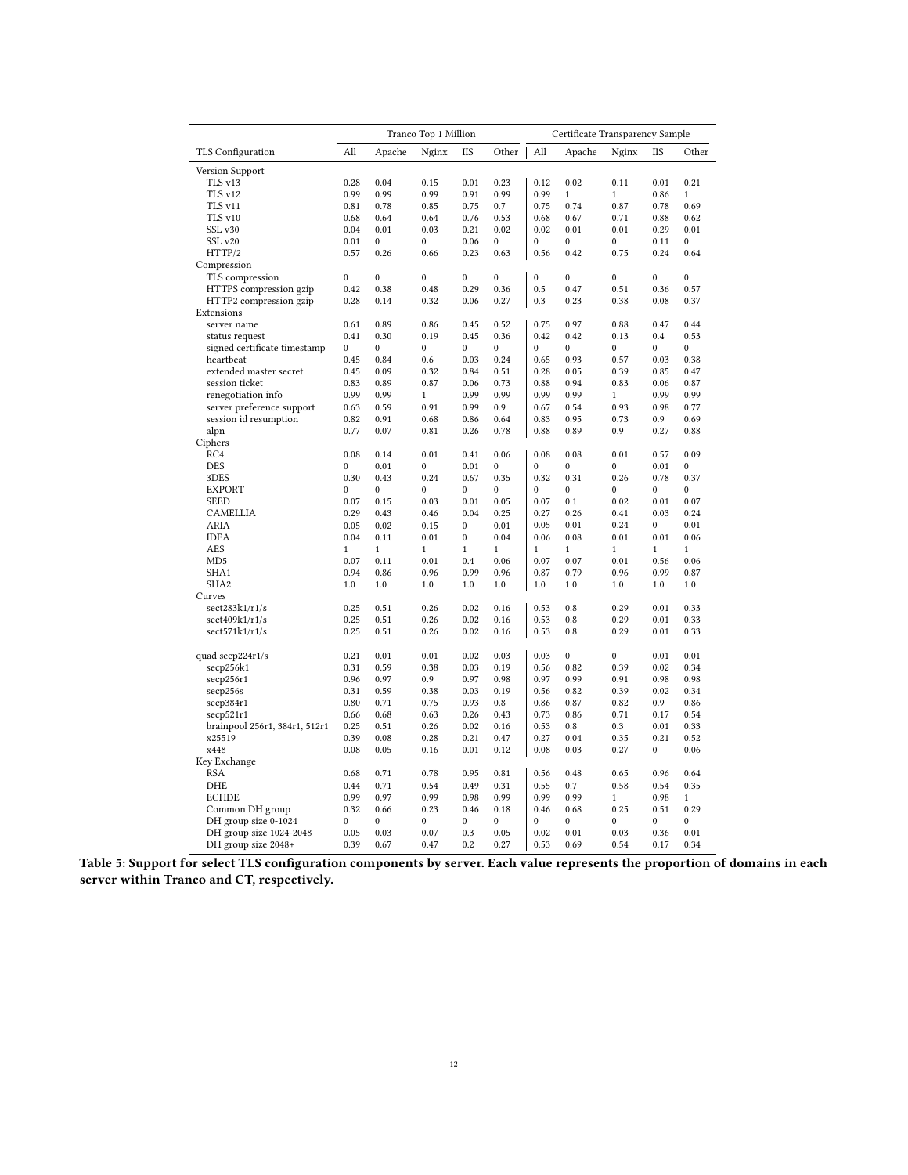|                                          |              |              | Tranco Top 1 Million |              |                  |              | Certificate Transparency Sample |              |              |              |
|------------------------------------------|--------------|--------------|----------------------|--------------|------------------|--------------|---------------------------------|--------------|--------------|--------------|
| TLS Configuration                        | All          | Apache       | Nginx                | <b>IIS</b>   | Other            | All          | Apache                          | Nginx        | <b>IIS</b>   | Other        |
| Version Support                          |              |              |                      |              |                  |              |                                 |              |              |              |
| TLS v13                                  | 0.28         | 0.04         | 0.15                 | 0.01         | 0.23             | 0.12         | 0.02                            | 0.11         | 0.01         | 0.21         |
| TLS v12                                  | 0.99         | 0.99         | 0.99                 | 0.91         | 0.99             | 0.99         | $\mathbf{1}$                    | $\mathbf{1}$ | 0.86         | $\mathbf{1}$ |
| TLS v11                                  | 0.81         | 0.78         | 0.85                 | 0.75         | 0.7              | 0.75         | 0.74                            | 0.87         | 0.78         | 0.69         |
| TLS v10                                  | 0.68         | 0.64         | 0.64                 | 0.76         | 0.53             | 0.68         | 0.67                            | 0.71         | 0.88         | 0.62         |
| SSL v30                                  | 0.04         | 0.01         | 0.03                 | 0.21         | 0.02             | 0.02         | 0.01                            | 0.01         | 0.29         | 0.01         |
| SSL v20                                  | 0.01         | $\mathbf{0}$ | $\mathbf{0}$         | 0.06         | $\mathbf{0}$     | $\mathbf{0}$ | $\mathbf{0}$                    | $\mathbf{0}$ | 0.11         | $\mathbf{0}$ |
| HTTP/2                                   | 0.57         | 0.26         | 0.66                 | 0.23         | 0.63             | 0.56         | 0.42                            | 0.75         | 0.24         | 0.64         |
| Compression                              |              |              |                      |              |                  |              |                                 |              |              |              |
| TLS compression                          | $\mathbf{0}$ | $\mathbf{0}$ | $\mathbf{0}$         | $\mathbf{0}$ | $\mathbf{0}$     | $\mathbf{0}$ | $\mathbf{0}$                    | $\mathbf{0}$ | $\mathbf{0}$ | $\mathbf{0}$ |
| HTTPS compression gzip                   | 0.42         | 0.38         | 0.48                 | 0.29         | 0.36             | 0.5          | 0.47                            | 0.51         | 0.36         | 0.57         |
| HTTP2 compression gzip                   | 0.28         | 0.14         | 0.32                 | 0.06         | 0.27             | 0.3          | 0.23                            | 0.38         | 0.08         | 0.37         |
| Extensions                               |              |              |                      |              |                  |              |                                 |              |              |              |
| server name                              | 0.61         | 0.89         | 0.86                 | 0.45         | 0.52             | 0.75         | 0.97                            | 0.88         | 0.47         | 0.44         |
| status request                           | 0.41         | 0.30         | 0.19                 | 0.45         | 0.36             | 0.42         | 0.42                            | 0.13         | 0.4          | 0.53         |
| signed certificate timestamp             | $\mathbf{0}$ | $\mathbf{0}$ | $\mathbf{0}$         | $\mathbf{0}$ | $\mathbf{0}$     | $\mathbf{0}$ | $\mathbf{0}$                    | $\mathbf{0}$ | $\mathbf{0}$ | $\mathbf{0}$ |
| heartbeat                                | 0.45         | 0.84         | 0.6                  | 0.03         | 0.24             | 0.65         | 0.93                            | 0.57         | 0.03         | 0.38         |
| extended master secret                   | 0.45         | 0.09         | 0.32                 | 0.84         | 0.51             | 0.28         | 0.05                            | 0.39         | 0.85         | 0.47         |
| session ticket                           | 0.83         | 0.89         | 0.87                 | 0.06         | 0.73             | 0.88         | 0.94                            | 0.83         | 0.06         | 0.87         |
| renegotiation info                       | 0.99         | 0.99         | $\mathbf{1}$         | 0.99         | 0.99             | 0.99         | 0.99                            | $\mathbf{1}$ | 0.99         | 0.99         |
| server preference support                | 0.63         | 0.59         | 0.91                 | 0.99         | 0.9              | 0.67         | 0.54                            | 0.93         | 0.98         | 0.77         |
| session id resumption                    | 0.82         | 0.91         | 0.68                 | 0.86         | 0.64             | 0.83         | 0.95                            | 0.73         | 0.9          | 0.69         |
| alpn                                     | 0.77         | 0.07         | 0.81                 | 0.26         | 0.78             | 0.88         | 0.89                            | 0.9          | 0.27         | 0.88         |
| Ciphers                                  |              |              |                      |              |                  |              |                                 |              |              |              |
| RC4                                      | 0.08         | 0.14         | 0.01                 | 0.41         | 0.06             | 0.08         | 0.08                            | 0.01         | 0.57         | 0.09         |
| <b>DES</b>                               | $\mathbf{0}$ | 0.01         | 0                    | 0.01         | $\mathbf{0}$     | $\mathbf{0}$ | $\mathbf{0}$                    | $\mathbf{0}$ | 0.01         | $\mathbf{0}$ |
| 3DES                                     | 0.30         | 0.43         | 0.24                 | 0.67         | 0.35             | 0.32         | 0.31                            | 0.26         | 0.78         | 0.37         |
| <b>EXPORT</b>                            | $\mathbf{0}$ | $\bf{0}$     | 0                    | $\bf{0}$     | $\boldsymbol{0}$ | $\mathbf{0}$ | $\mathbf{0}$                    | $\mathbf{0}$ | $\mathbf{0}$ | $\mathbf{0}$ |
| <b>SEED</b>                              | 0.07         | 0.15         | 0.03                 | 0.01         | 0.05             | 0.07         | 0.1                             | 0.02         | 0.01         | 0.07         |
| CAMELLIA                                 | 0.29         | 0.43         | 0.46                 | 0.04         | 0.25             | 0.27         | 0.26                            | 0.41         | 0.03         | 0.24         |
| ARIA                                     | 0.05         | 0.02         | 0.15                 | $\bf{0}$     | 0.01             | 0.05         | 0.01                            | 0.24         | $\mathbf{0}$ | 0.01         |
| <b>IDEA</b>                              | 0.04         | 0.11         | 0.01                 | $\bf{0}$     | 0.04             | 0.06         | 0.08                            | 0.01         | 0.01         | 0.06         |
| <b>AES</b>                               | 1            | $\mathbf{1}$ | $\mathbf{1}$         | $\mathbf{1}$ | 1                | 1            | $\mathbf{1}$                    | $\mathbf{1}$ | $\mathbf{1}$ | $\mathbf{1}$ |
| MD <sub>5</sub>                          | 0.07         | 0.11         | 0.01                 | 0.4          | 0.06             | 0.07         | 0.07                            | 0.01         | 0.56         | 0.06         |
| SHA1                                     | 0.94         | 0.86         | 0.96                 | 0.99         | 0.96             | 0.87         | 0.79                            | 0.96         | 0.99         | 0.87         |
| SHA <sub>2</sub>                         | 1.0          | 1.0          | 1.0                  | 1.0          | 1.0              | 1.0          | 1.0                             | 1.0          | 1.0          | 1.0          |
| Curves                                   |              |              |                      |              |                  |              |                                 |              |              |              |
| sect283k1/r1/s                           | 0.25         | 0.51         | 0.26                 | 0.02         | 0.16             | 0.53         | 0.8                             | 0.29         | 0.01         | 0.33         |
| sect409k1/r1/s                           | 0.25         | 0.51         | 0.26                 | 0.02         | 0.16             | 0.53         | 0.8                             | 0.29         | 0.01         | 0.33         |
| sect571k1/r1/s                           | 0.25         | 0.51         | 0.26                 | 0.02         | 0.16             | 0.53         | 0.8                             | 0.29         | 0.01         | 0.33         |
| quad $\frac{\text{secp224r1}}{\text{s}}$ | 0.21         | 0.01         | 0.01                 | 0.02         | 0.03             | 0.03         | $\mathbf{0}$                    | $\mathbf{0}$ | 0.01         | 0.01         |
| secp256k1                                | 0.31         | 0.59         | 0.38                 | 0.03         | 0.19             | 0.56         | 0.82                            | 0.39         | 0.02         | 0.34         |
| secp256r1                                | 0.96         | 0.97         | 0.9                  | 0.97         | 0.98             | 0.97         | 0.99                            | 0.91         | 0.98         | 0.98         |
| secp256s                                 | 0.31         | 0.59         | 0.38                 | 0.03         | 0.19             | 0.56         | 0.82                            | 0.39         | 0.02         | 0.34         |
| secp384r1                                | 0.80         | 0.71         | 0.75                 | 0.93         | 0.8              | 0.86         | 0.87                            | 0.82         | 0.9          | 0.86         |
| secp521r1                                | 0.66         | 0.68         | 0.63                 | 0.26         | 0.43             | 0.73         | 0.86                            | 0.71         | 0.17         | 0.54         |
| brainpool 256r1, 384r1, 512r1            | 0.25         | 0.51         | 0.26                 | 0.02         | 0.16             | 0.53         | 0.8                             | 0.3          | 0.01         | 0.33         |
| x25519                                   | 0.39         | 0.08         | 0.28                 | 0.21         | 0.47             | 0.27         | 0.04                            | 0.35         | 0.21         | 0.52         |
| x448                                     | 0.08         | 0.05         | 0.16                 | 0.01         | 0.12             | 0.08         | 0.03                            | 0.27         | $\mathbf{0}$ | 0.06         |
| Key Exchange                             |              |              |                      |              |                  |              |                                 |              |              |              |
| RSA                                      | 0.68         | 0.71         | 0.78                 | 0.95         | 0.81             | 0.56         | 0.48                            | 0.65         | 0.96         | 0.64         |
| DHE                                      | 0.44         | 0.71         | 0.54                 | 0.49         | 0.31             | 0.55         | 0.7                             | 0.58         | 0.54         | 0.35         |
| <b>ECHDE</b>                             | 0.99         | 0.97         | 0.99                 | 0.98         | 0.99             | 0.99         | 0.99                            | $\mathbf{1}$ | 0.98         | 1            |
| Common DH group                          | 0.32         | 0.66         | 0.23                 | 0.46         | 0.18             | 0.46         | 0.68                            | 0.25         | 0.51         | 0.29         |
| DH group size 0-1024                     | $\mathbf{0}$ | $\mathbf{0}$ | $\mathbf{0}$         | $\mathbf{0}$ | $\mathbf{0}$     | $\theta$     | $\mathbf{0}$                    | $\mathbf{0}$ | $\mathbf{0}$ | $\mathbf{0}$ |
| DH group size 1024-2048                  | 0.05         | 0.03         | 0.07                 | 0.3          | 0.05             | 0.02         | 0.01                            | 0.03         | 0.36         | 0.01         |
| DH group size 2048+                      | 0.39         | 0.67         | 0.47                 | 0.2          | 0.27             | 0.53         | 0.69                            | 0.54         | 0.17         | 0.34         |
|                                          |              |              |                      |              |                  |              |                                 |              |              |              |

Table 5: Support for select TLS configuration components by server. Each value represents the proportion of domains in each server within Tranco and CT, respectively.